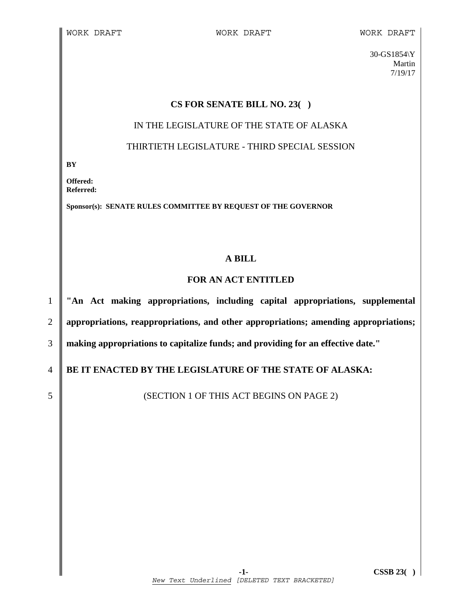30-GS1854\Y Martin 7/19/17

#### **CS FOR SENATE BILL NO. 23( )**

### IN THE LEGISLATURE OF THE STATE OF ALASKA

#### THIRTIETH LEGISLATURE - THIRD SPECIAL SESSION

**BY** 

**Offered: Referred:** 

**Sponsor(s): SENATE RULES COMMITTEE BY REQUEST OF THE GOVERNOR** 

## **A BILL**

### **FOR AN ACT ENTITLED**

1 **"An Act making appropriations, including capital appropriations, supplemental**  2 **appropriations, reappropriations, and other appropriations; amending appropriations;**  3 **making appropriations to capitalize funds; and providing for an effective date."** 

4 **BE IT ENACTED BY THE LEGISLATURE OF THE STATE OF ALASKA:** 

5 SUBSECTION 1 OF THIS ACT BEGINS ON PAGE 2)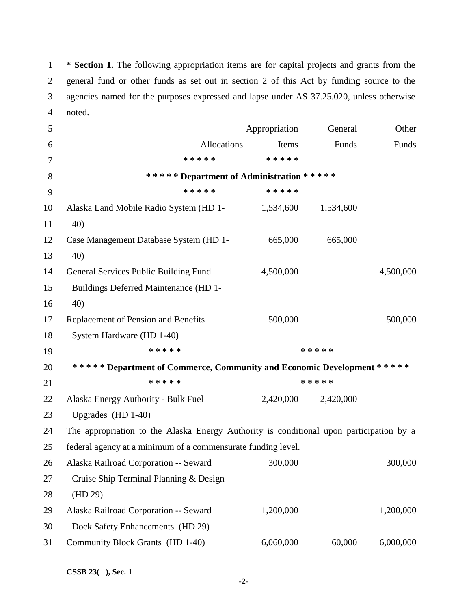1 **\* Section 1.** The following appropriation items are for capital projects and grants from the 2 general fund or other funds as set out in section 2 of this Act by funding source to the 3 agencies named for the purposes expressed and lapse under AS 37.25.020, unless otherwise 4 noted.

| 5      |                                                                                         | Appropriation | General   | Other     |
|--------|-----------------------------------------------------------------------------------------|---------------|-----------|-----------|
| 6      | Allocations                                                                             | Items         | Funds     | Funds     |
| $\tau$ | * * * * *                                                                               | * * * * *     |           |           |
| 8      | ***** Department of Administration *****                                                |               |           |           |
| 9      | * * * * *                                                                               | * * * * *     |           |           |
| 10     | Alaska Land Mobile Radio System (HD 1-                                                  | 1,534,600     | 1,534,600 |           |
| 11     | 40)                                                                                     |               |           |           |
| 12     | Case Management Database System (HD 1-                                                  | 665,000       | 665,000   |           |
| 13     | 40)                                                                                     |               |           |           |
| 14     | General Services Public Building Fund                                                   | 4,500,000     |           | 4,500,000 |
| 15     | Buildings Deferred Maintenance (HD 1-                                                   |               |           |           |
| 16     | 40)                                                                                     |               |           |           |
| 17     | Replacement of Pension and Benefits                                                     | 500,000       |           | 500,000   |
| 18     | System Hardware (HD 1-40)                                                               |               |           |           |
| 19     | * * * * *                                                                               |               | * * * * * |           |
| 20     | ***** Department of Commerce, Community and Economic Development *****                  |               |           |           |
| 21     | * * * * *                                                                               |               | * * * * * |           |
| 22     | Alaska Energy Authority - Bulk Fuel                                                     | 2,420,000     | 2,420,000 |           |
| 23     | Upgrades $(HD 1-40)$                                                                    |               |           |           |
| 24     | The appropriation to the Alaska Energy Authority is conditional upon participation by a |               |           |           |
| 25     | federal agency at a minimum of a commensurate funding level.                            |               |           |           |
| 26     | Alaska Railroad Corporation -- Seward                                                   | 300,000       |           | 300,000   |
| 27     | Cruise Ship Terminal Planning & Design                                                  |               |           |           |
| 28     | (HD 29)                                                                                 |               |           |           |
| 29     | Alaska Railroad Corporation -- Seward                                                   | 1,200,000     |           | 1,200,000 |
| 30     | Dock Safety Enhancements (HD 29)                                                        |               |           |           |
|        |                                                                                         |               |           |           |
| 31     | Community Block Grants (HD 1-40)                                                        | 6,060,000     | 60,000    | 6,000,000 |

 **-2-**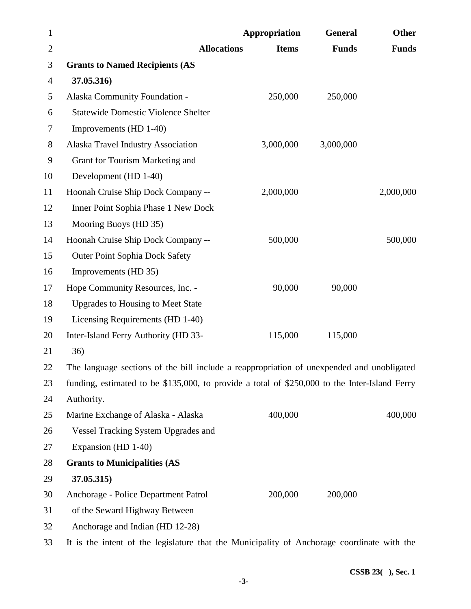| $\mathbf{1}$   |                                                                                               | Appropriation | <b>General</b> | <b>Other</b> |
|----------------|-----------------------------------------------------------------------------------------------|---------------|----------------|--------------|
| $\overline{2}$ | <b>Allocations</b>                                                                            | <b>Items</b>  | <b>Funds</b>   | <b>Funds</b> |
| 3              | <b>Grants to Named Recipients (AS</b>                                                         |               |                |              |
| $\overline{4}$ | 37.05.316)                                                                                    |               |                |              |
| 5              | Alaska Community Foundation -                                                                 | 250,000       | 250,000        |              |
| 6              | <b>Statewide Domestic Violence Shelter</b>                                                    |               |                |              |
| 7              | Improvements (HD 1-40)                                                                        |               |                |              |
| $8\,$          | Alaska Travel Industry Association                                                            | 3,000,000     | 3,000,000      |              |
| 9              | Grant for Tourism Marketing and                                                               |               |                |              |
| 10             | Development (HD 1-40)                                                                         |               |                |              |
| 11             | Hoonah Cruise Ship Dock Company --                                                            | 2,000,000     |                | 2,000,000    |
| 12             | Inner Point Sophia Phase 1 New Dock                                                           |               |                |              |
| 13             | Mooring Buoys (HD 35)                                                                         |               |                |              |
| 14             | Hoonah Cruise Ship Dock Company --                                                            | 500,000       |                | 500,000      |
| 15             | <b>Outer Point Sophia Dock Safety</b>                                                         |               |                |              |
| 16             | Improvements (HD 35)                                                                          |               |                |              |
| 17             | Hope Community Resources, Inc. -                                                              | 90,000        | 90,000         |              |
| 18             | <b>Upgrades to Housing to Meet State</b>                                                      |               |                |              |
| 19             | Licensing Requirements (HD 1-40)                                                              |               |                |              |
| 20             | Inter-Island Ferry Authority (HD 33-                                                          | 115,000       | 115,000        |              |
| 21             | 36)                                                                                           |               |                |              |
| 22             | The language sections of the bill include a reappropriation of unexpended and unobligated     |               |                |              |
| 23             | funding, estimated to be \$135,000, to provide a total of \$250,000 to the Inter-Island Ferry |               |                |              |
| 24             | Authority.                                                                                    |               |                |              |
| 25             | Marine Exchange of Alaska - Alaska                                                            | 400,000       |                | 400,000      |
| 26             | <b>Vessel Tracking System Upgrades and</b>                                                    |               |                |              |
| 27             | Expansion (HD 1-40)                                                                           |               |                |              |
| 28             | <b>Grants to Municipalities (AS</b>                                                           |               |                |              |
| 29             | 37.05.315)                                                                                    |               |                |              |
| 30             | Anchorage - Police Department Patrol                                                          | 200,000       | 200,000        |              |
| 31             | of the Seward Highway Between                                                                 |               |                |              |
| 32             | Anchorage and Indian (HD 12-28)                                                               |               |                |              |
| 33             | It is the intent of the legislature that the Municipality of Anchorage coordinate with the    |               |                |              |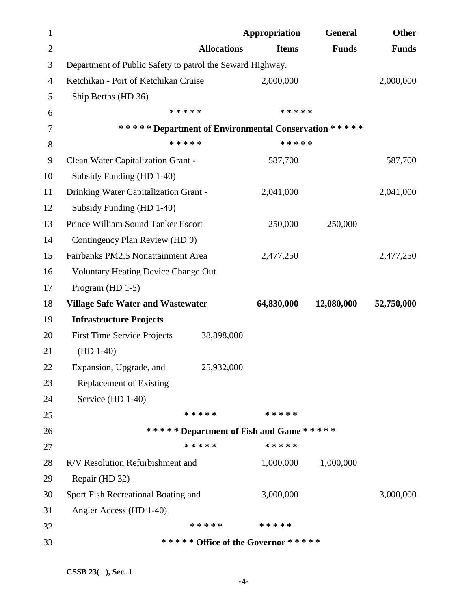| $\mathbf{1}$   |                                                           |                    | Appropriation                            | <b>General</b> | <b>Other</b> |
|----------------|-----------------------------------------------------------|--------------------|------------------------------------------|----------------|--------------|
| $\overline{2}$ |                                                           | <b>Allocations</b> | <b>Items</b>                             | <b>Funds</b>   | <b>Funds</b> |
| 3              | Department of Public Safety to patrol the Seward Highway. |                    |                                          |                |              |
| 4              | Ketchikan - Port of Ketchikan Cruise                      |                    | 2,000,000                                |                | 2,000,000    |
| 5              | Ship Berths (HD 36)                                       |                    |                                          |                |              |
| 6              | * * * * *                                                 |                    | * * * * *                                |                |              |
| 7              | ****** Department of Environmental Conservation *****     |                    |                                          |                |              |
| $8\,$          | * * * * *                                                 |                    | * * * * *                                |                |              |
| 9              | Clean Water Capitalization Grant -                        |                    | 587,700                                  |                | 587,700      |
| 10             | Subsidy Funding (HD 1-40)                                 |                    |                                          |                |              |
| 11             | Drinking Water Capitalization Grant -                     |                    | 2,041,000                                |                | 2,041,000    |
| 12             | Subsidy Funding (HD 1-40)                                 |                    |                                          |                |              |
| 13             | Prince William Sound Tanker Escort                        |                    | 250,000                                  | 250,000        |              |
| 14             | Contingency Plan Review (HD 9)                            |                    |                                          |                |              |
| 15             | Fairbanks PM2.5 Nonattainment Area                        |                    | 2,477,250                                |                | 2,477,250    |
| 16             | <b>Voluntary Heating Device Change Out</b>                |                    |                                          |                |              |
| 17             | Program (HD 1-5)                                          |                    |                                          |                |              |
| 18             | <b>Village Safe Water and Wastewater</b>                  |                    | 64,830,000                               | 12,080,000     | 52,750,000   |
| 19             | <b>Infrastructure Projects</b>                            |                    |                                          |                |              |
| 20             | <b>First Time Service Projects</b>                        | 38,898,000         |                                          |                |              |
| 21             | $(HD 1-40)$                                               |                    |                                          |                |              |
| 22             | Expansion, Upgrade, and                                   | 25,932,000         |                                          |                |              |
| 23             | <b>Replacement of Existing</b>                            |                    |                                          |                |              |
| 24             | Service (HD 1-40)                                         |                    |                                          |                |              |
| 25             |                                                           | * * * * *          | * * * * *                                |                |              |
| 26             |                                                           |                    | ****** Department of Fish and Game ***** |                |              |
| 27             |                                                           | * * * * *          | * * * * *                                |                |              |
| 28             | R/V Resolution Refurbishment and                          |                    | 1,000,000                                | 1,000,000      |              |
| 29             | Repair (HD 32)                                            |                    |                                          |                |              |
| 30             | Sport Fish Recreational Boating and                       |                    | 3,000,000                                |                | 3,000,000    |
| 31             | Angler Access (HD 1-40)                                   |                    |                                          |                |              |
| 32             |                                                           | * * * * *          | * * * * *                                |                |              |
| 33             |                                                           |                    | ***** Office of the Governor ******      |                |              |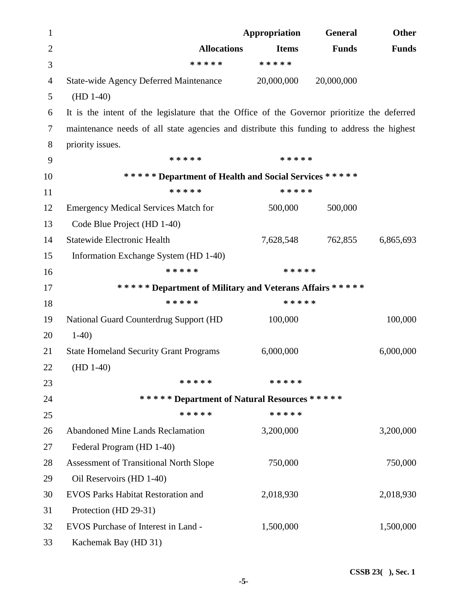| 1              |                                                                                             | Appropriation | <b>General</b> | <b>Other</b> |
|----------------|---------------------------------------------------------------------------------------------|---------------|----------------|--------------|
| $\overline{2}$ | <b>Allocations</b>                                                                          | <b>Items</b>  | <b>Funds</b>   | <b>Funds</b> |
| 3              | * * * * *                                                                                   | * * * * *     |                |              |
| 4              | <b>State-wide Agency Deferred Maintenance</b>                                               | 20,000,000    | 20,000,000     |              |
| 5              | $(HD 1-40)$                                                                                 |               |                |              |
| 6              | It is the intent of the legislature that the Office of the Governor prioritize the deferred |               |                |              |
| $\tau$         | maintenance needs of all state agencies and distribute this funding to address the highest  |               |                |              |
| 8              | priority issues.                                                                            |               |                |              |
| 9              | * * * * *                                                                                   | * * * * *     |                |              |
| 10             | ***** Department of Health and Social Services *****                                        |               |                |              |
| 11             | * * * * *                                                                                   | * * * * *     |                |              |
| 12             | <b>Emergency Medical Services Match for</b>                                                 | 500,000       | 500,000        |              |
| 13             | Code Blue Project (HD 1-40)                                                                 |               |                |              |
| 14             | <b>Statewide Electronic Health</b>                                                          | 7,628,548     | 762,855        | 6,865,693    |
| 15             | Information Exchange System (HD 1-40)                                                       |               |                |              |
| 16             | * * * * *                                                                                   | * * * * *     |                |              |
| 17             | ****** Department of Military and Veterans Affairs *****                                    |               |                |              |
| 18             | * * * * *                                                                                   | * * * * *     |                |              |
| 19             | National Guard Counterdrug Support (HD                                                      | 100,000       |                | 100,000      |
| 20             | $1-40$                                                                                      |               |                |              |
| 21             | <b>State Homeland Security Grant Programs</b>                                               | 6,000,000     |                | 6,000,000    |
| 22             | $(HD 1-40)$                                                                                 |               |                |              |
| 23             | * * * * *                                                                                   | * * * * *     |                |              |
| 24             | ***** Department of Natural Resources *****                                                 |               |                |              |
| 25             | * * * * *                                                                                   | * * * * *     |                |              |
| 26             | <b>Abandoned Mine Lands Reclamation</b>                                                     | 3,200,000     |                | 3,200,000    |
| 27             | Federal Program (HD 1-40)                                                                   |               |                |              |
| 28             | <b>Assessment of Transitional North Slope</b>                                               | 750,000       |                | 750,000      |
| 29             | Oil Reservoirs (HD 1-40)                                                                    |               |                |              |
| 30             | <b>EVOS Parks Habitat Restoration and</b>                                                   | 2,018,930     |                | 2,018,930    |
| 31             | Protection (HD 29-31)                                                                       |               |                |              |
| 32             | EVOS Purchase of Interest in Land -                                                         | 1,500,000     |                | 1,500,000    |
| 33             | Kachemak Bay (HD 31)                                                                        |               |                |              |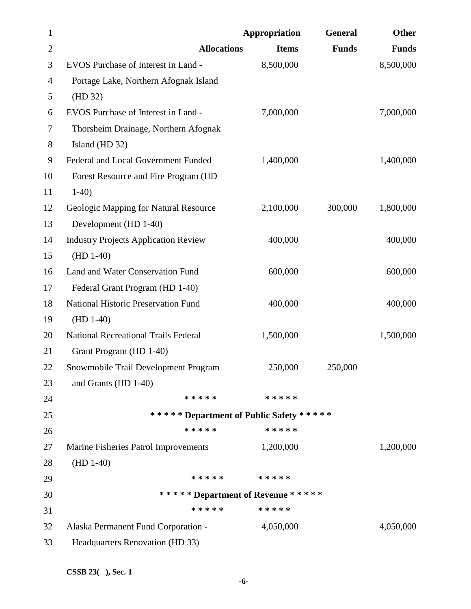| $\mathbf{1}$   |                                             | Appropriation | General      | <b>Other</b> |
|----------------|---------------------------------------------|---------------|--------------|--------------|
| $\overline{2}$ | <b>Allocations</b>                          | <b>Items</b>  | <b>Funds</b> | <b>Funds</b> |
| 3              | EVOS Purchase of Interest in Land -         | 8,500,000     |              | 8,500,000    |
| 4              | Portage Lake, Northern Afognak Island       |               |              |              |
| 5              | (HD 32)                                     |               |              |              |
| 6              | EVOS Purchase of Interest in Land -         | 7,000,000     |              | 7,000,000    |
| 7              | Thorsheim Drainage, Northern Afognak        |               |              |              |
| $8\,$          | Island (HD 32)                              |               |              |              |
| 9              | Federal and Local Government Funded         | 1,400,000     |              | 1,400,000    |
| 10             | Forest Resource and Fire Program (HD        |               |              |              |
| 11             | $1-40$                                      |               |              |              |
| 12             | Geologic Mapping for Natural Resource       | 2,100,000     | 300,000      | 1,800,000    |
| 13             | Development (HD 1-40)                       |               |              |              |
| 14             | <b>Industry Projects Application Review</b> | 400,000       |              | 400,000      |
| 15             | $(HD 1-40)$                                 |               |              |              |
| 16             | Land and Water Conservation Fund            | 600,000       |              | 600,000      |
| 17             | Federal Grant Program (HD 1-40)             |               |              |              |
| 18             | National Historic Preservation Fund         | 400,000       |              | 400,000      |
| 19             | $(HD 1-40)$                                 |               |              |              |
| 20             | <b>National Recreational Trails Federal</b> | 1,500,000     |              | 1,500,000    |
| 21             | Grant Program (HD 1-40)                     |               |              |              |
| 22             | Snowmobile Trail Development Program        | 250,000       | 250,000      |              |
| 23             | and Grants (HD 1-40)                        |               |              |              |
| 24             | * * * * *                                   | * * * * *     |              |              |
| 25             | ***** Department of Public Safety *****     |               |              |              |
| 26             | * * * * *                                   | * * * * *     |              |              |
| 27             | Marine Fisheries Patrol Improvements        | 1,200,000     |              | 1,200,000    |
| 28             | $(HD 1-40)$                                 |               |              |              |
| 29             | ***** *****                                 |               |              |              |
| 30             | ****** Department of Revenue *****          |               |              |              |
| 31             | * * * * *                                   | * * * * *     |              |              |
| 32             | Alaska Permanent Fund Corporation -         | 4,050,000     |              | 4,050,000    |
| 33             | Headquarters Renovation (HD 33)             |               |              |              |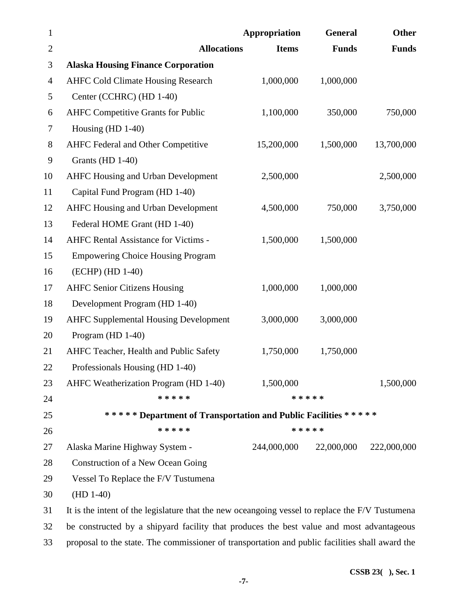| $\mathbf{1}$   |                                                                                                 | Appropriation | General      | Other        |
|----------------|-------------------------------------------------------------------------------------------------|---------------|--------------|--------------|
| $\mathbf{2}$   | <b>Allocations</b>                                                                              | <b>Items</b>  | <b>Funds</b> | <b>Funds</b> |
| 3              | <b>Alaska Housing Finance Corporation</b>                                                       |               |              |              |
| $\overline{4}$ | <b>AHFC Cold Climate Housing Research</b>                                                       | 1,000,000     | 1,000,000    |              |
| 5              | Center (CCHRC) (HD 1-40)                                                                        |               |              |              |
| 6              | <b>AHFC Competitive Grants for Public</b>                                                       | 1,100,000     | 350,000      | 750,000      |
| $\tau$         | Housing $(HD 1-40)$                                                                             |               |              |              |
| $8\,$          | <b>AHFC Federal and Other Competitive</b>                                                       | 15,200,000    | 1,500,000    | 13,700,000   |
| 9              | Grants (HD 1-40)                                                                                |               |              |              |
| 10             | <b>AHFC Housing and Urban Development</b>                                                       | 2,500,000     |              | 2,500,000    |
| 11             | Capital Fund Program (HD 1-40)                                                                  |               |              |              |
| 12             | <b>AHFC Housing and Urban Development</b>                                                       | 4,500,000     | 750,000      | 3,750,000    |
| 13             | Federal HOME Grant (HD 1-40)                                                                    |               |              |              |
| 14             | <b>AHFC Rental Assistance for Victims -</b>                                                     | 1,500,000     | 1,500,000    |              |
| 15             | <b>Empowering Choice Housing Program</b>                                                        |               |              |              |
| 16             | (ECHP) (HD 1-40)                                                                                |               |              |              |
| 17             | <b>AHFC Senior Citizens Housing</b>                                                             | 1,000,000     | 1,000,000    |              |
| 18             | Development Program (HD 1-40)                                                                   |               |              |              |
| 19             | <b>AHFC Supplemental Housing Development</b>                                                    | 3,000,000     | 3,000,000    |              |
| 20             | Program (HD 1-40)                                                                               |               |              |              |
| 21             | AHFC Teacher, Health and Public Safety                                                          | 1,750,000     | 1,750,000    |              |
| 22             | Professionals Housing (HD 1-40)                                                                 |               |              |              |
| 23             | AHFC Weatherization Program (HD 1-40)                                                           | 1,500,000     |              | 1,500,000    |
| 24             | * * * * *                                                                                       |               | * * * * *    |              |
| 25             | ****** Department of Transportation and Public Facilities *****                                 |               |              |              |
| 26             | * * * * *                                                                                       |               | * * * * *    |              |
| 27             | Alaska Marine Highway System -                                                                  | 244,000,000   | 22,000,000   | 222,000,000  |
| 28             | Construction of a New Ocean Going                                                               |               |              |              |
| 29             | Vessel To Replace the F/V Tustumena                                                             |               |              |              |
| 30             | $(HD 1-40)$                                                                                     |               |              |              |
| 31             | It is the intent of the legislature that the new oceangoing vessel to replace the F/V Tustumena |               |              |              |
| 32             | be constructed by a shipyard facility that produces the best value and most advantageous        |               |              |              |
| 33             | proposal to the state. The commissioner of transportation and public facilities shall award the |               |              |              |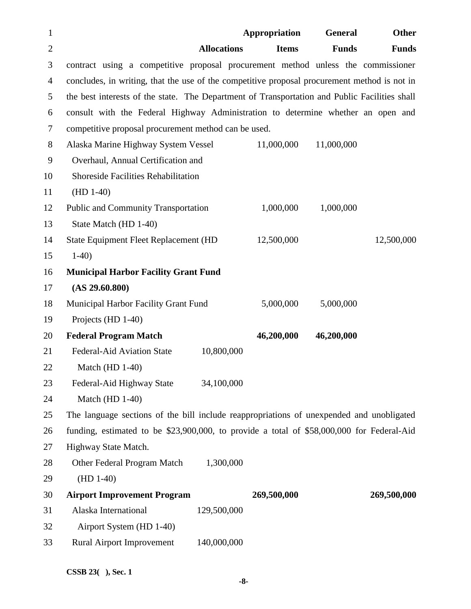| $\mathbf{1}$   |                                                                                               | Appropriation | General      | <b>Other</b> |
|----------------|-----------------------------------------------------------------------------------------------|---------------|--------------|--------------|
| $\overline{2}$ | <b>Allocations</b>                                                                            | <b>Items</b>  | <b>Funds</b> | <b>Funds</b> |
| 3              | contract using a competitive proposal procurement method unless the commissioner              |               |              |              |
| 4              | concludes, in writing, that the use of the competitive proposal procurement method is not in  |               |              |              |
| 5              | the best interests of the state. The Department of Transportation and Public Facilities shall |               |              |              |
| 6              | consult with the Federal Highway Administration to determine whether an open and              |               |              |              |
| $\tau$         | competitive proposal procurement method can be used.                                          |               |              |              |
| $8\,$          | Alaska Marine Highway System Vessel                                                           | 11,000,000    | 11,000,000   |              |
| 9              | Overhaul, Annual Certification and                                                            |               |              |              |
| 10             | <b>Shoreside Facilities Rehabilitation</b>                                                    |               |              |              |
| 11             | $(HD 1-40)$                                                                                   |               |              |              |
| 12             | <b>Public and Community Transportation</b>                                                    | 1,000,000     | 1,000,000    |              |
| 13             | State Match (HD 1-40)                                                                         |               |              |              |
| 14             | State Equipment Fleet Replacement (HD                                                         | 12,500,000    |              | 12,500,000   |
| 15             | $1-40$                                                                                        |               |              |              |
| 16             | <b>Municipal Harbor Facility Grant Fund</b>                                                   |               |              |              |
| 17             | (AS 29.60.800)                                                                                |               |              |              |
| 18             | <b>Municipal Harbor Facility Grant Fund</b>                                                   | 5,000,000     | 5,000,000    |              |
| 19             | Projects (HD 1-40)                                                                            |               |              |              |
| 20             | <b>Federal Program Match</b>                                                                  | 46,200,000    | 46,200,000   |              |
| 21             | Federal-Aid Aviation State<br>10,800,000                                                      |               |              |              |
| 22             | Match (HD $1-40$ )                                                                            |               |              |              |
| 23             | Federal-Aid Highway State<br>34,100,000                                                       |               |              |              |
| 24             | Match (HD 1-40)                                                                               |               |              |              |
| 25             | The language sections of the bill include reappropriations of unexpended and unobligated      |               |              |              |
| 26             | funding, estimated to be \$23,900,000, to provide a total of \$58,000,000 for Federal-Aid     |               |              |              |
| 27             | Highway State Match.                                                                          |               |              |              |
| 28             | 1,300,000<br>Other Federal Program Match                                                      |               |              |              |
| 29             | $(HD 1-40)$                                                                                   |               |              |              |
| 30             | <b>Airport Improvement Program</b>                                                            | 269,500,000   |              | 269,500,000  |
| 31             | Alaska International<br>129,500,000                                                           |               |              |              |
| 32             | Airport System (HD 1-40)                                                                      |               |              |              |
| 33             | <b>Rural Airport Improvement</b><br>140,000,000                                               |               |              |              |

**CSSB 23( ), Sec. 1** 

 **-8-**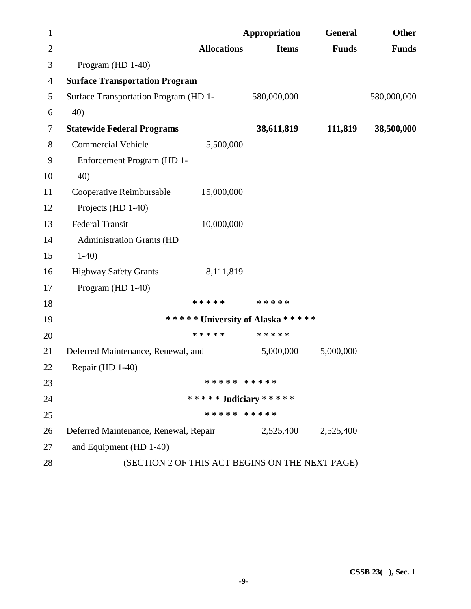| $\mathbf{1}$   |                                                 |                       | Appropriation                    | <b>General</b>      | <b>Other</b> |
|----------------|-------------------------------------------------|-----------------------|----------------------------------|---------------------|--------------|
| $\mathbf{2}$   |                                                 | <b>Allocations</b>    | <b>Items</b>                     | <b>Funds</b>        | <b>Funds</b> |
| 3              | Program (HD 1-40)                               |                       |                                  |                     |              |
| $\overline{4}$ | <b>Surface Transportation Program</b>           |                       |                                  |                     |              |
| 5              | Surface Transportation Program (HD 1-           |                       | 580,000,000                      |                     | 580,000,000  |
| 6              | 40)                                             |                       |                                  |                     |              |
| $\tau$         | <b>Statewide Federal Programs</b>               |                       | 38,611,819                       | 111,819             | 38,500,000   |
| 8              | <b>Commercial Vehicle</b>                       | 5,500,000             |                                  |                     |              |
| 9              | Enforcement Program (HD 1-                      |                       |                                  |                     |              |
| 10             | 40)                                             |                       |                                  |                     |              |
| 11             | Cooperative Reimbursable                        | 15,000,000            |                                  |                     |              |
| 12             | Projects (HD 1-40)                              |                       |                                  |                     |              |
| 13             | <b>Federal Transit</b>                          | 10,000,000            |                                  |                     |              |
| 14             | <b>Administration Grants (HD</b>                |                       |                                  |                     |              |
| 15             | $1-40$                                          |                       |                                  |                     |              |
| 16             | <b>Highway Safety Grants</b>                    | 8,111,819             |                                  |                     |              |
| 17             | Program (HD 1-40)                               |                       |                                  |                     |              |
| 18             |                                                 | * * * * *             | * * * * *                        |                     |              |
| 19             |                                                 |                       | ***** University of Alaska ***** |                     |              |
| 20             |                                                 | * * * * *             | * * * * *                        |                     |              |
| 21             | Deferred Maintenance, Renewal, and              |                       | 5,000,000                        | 5,000,000           |              |
| 22             | Repair (HD 1-40)                                |                       |                                  |                     |              |
| 23             |                                                 | ***** *****           |                                  |                     |              |
| 24             |                                                 | ***** Judiciary ***** |                                  |                     |              |
| 25             |                                                 | ***** *****           |                                  |                     |              |
| 26             | Deferred Maintenance, Renewal, Repair           |                       |                                  | 2,525,400 2,525,400 |              |
| 27             | and Equipment (HD 1-40)                         |                       |                                  |                     |              |
| 28             | (SECTION 2 OF THIS ACT BEGINS ON THE NEXT PAGE) |                       |                                  |                     |              |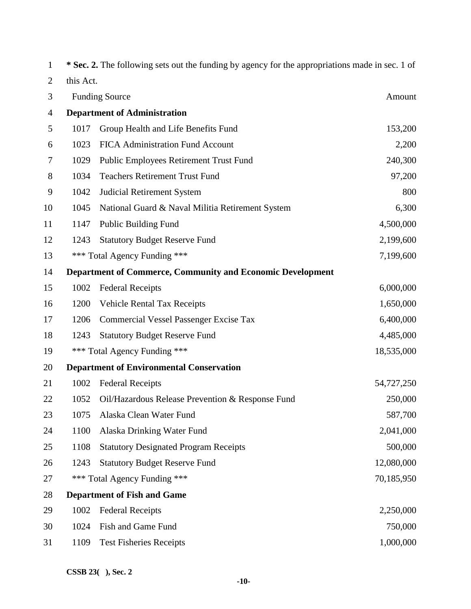| $\mathbf{1}$ |           | * Sec. 2. The following sets out the funding by agency for the appropriations made in sec. 1 of |            |
|--------------|-----------|-------------------------------------------------------------------------------------------------|------------|
| 2            | this Act. |                                                                                                 |            |
| 3            |           | <b>Funding Source</b>                                                                           | Amount     |
| 4            |           | <b>Department of Administration</b>                                                             |            |
| 5            | 1017      | Group Health and Life Benefits Fund                                                             | 153,200    |
| 6            | 1023      | <b>FICA Administration Fund Account</b>                                                         | 2,200      |
| 7            | 1029      | <b>Public Employees Retirement Trust Fund</b>                                                   | 240,300    |
| 8            | 1034      | <b>Teachers Retirement Trust Fund</b>                                                           | 97,200     |
| 9            | 1042      | <b>Judicial Retirement System</b>                                                               | 800        |
| 10           | 1045      | National Guard & Naval Militia Retirement System                                                | 6,300      |
| 11           | 1147      | <b>Public Building Fund</b>                                                                     | 4,500,000  |
| 12           | 1243      | <b>Statutory Budget Reserve Fund</b>                                                            | 2,199,600  |
| 13           |           | *** Total Agency Funding ***                                                                    | 7,199,600  |
| 14           |           | <b>Department of Commerce, Community and Economic Development</b>                               |            |
| 15           | 1002      | <b>Federal Receipts</b>                                                                         | 6,000,000  |
| 16           | 1200      | <b>Vehicle Rental Tax Receipts</b>                                                              | 1,650,000  |
| 17           | 1206      | <b>Commercial Vessel Passenger Excise Tax</b>                                                   | 6,400,000  |
| 18           | 1243      | <b>Statutory Budget Reserve Fund</b>                                                            | 4,485,000  |
| 19           |           | *** Total Agency Funding ***                                                                    | 18,535,000 |
| 20           |           | <b>Department of Environmental Conservation</b>                                                 |            |
| 21           | 1002      | <b>Federal Receipts</b>                                                                         | 54,727,250 |
| 22           | 1052      | Oil/Hazardous Release Prevention & Response Fund                                                | 250,000    |
| 23           | 1075      | Alaska Clean Water Fund                                                                         | 587,700    |
| 24           | 1100      | Alaska Drinking Water Fund                                                                      | 2,041,000  |
| 25           | 1108      | <b>Statutory Designated Program Receipts</b>                                                    | 500,000    |
| 26           | 1243      | <b>Statutory Budget Reserve Fund</b>                                                            | 12,080,000 |
| 27           |           | *** Total Agency Funding ***                                                                    | 70,185,950 |
| 28           |           | <b>Department of Fish and Game</b>                                                              |            |
| 29           | 1002      | <b>Federal Receipts</b>                                                                         | 2,250,000  |
| 30           | 1024      | Fish and Game Fund                                                                              | 750,000    |
| 31           | 1109      | <b>Test Fisheries Receipts</b>                                                                  | 1,000,000  |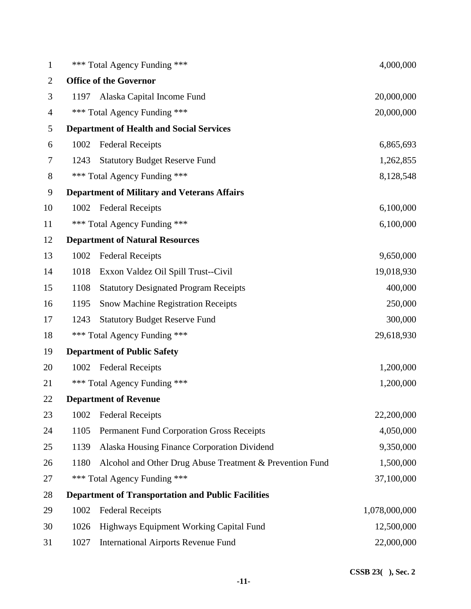| 1                |      | *** Total Agency Funding ***                              | 4,000,000     |
|------------------|------|-----------------------------------------------------------|---------------|
| $\overline{2}$   |      | <b>Office of the Governor</b>                             |               |
| 3                | 1197 | Alaska Capital Income Fund                                | 20,000,000    |
| $\overline{4}$   |      | *** Total Agency Funding ***                              | 20,000,000    |
| 5                |      | <b>Department of Health and Social Services</b>           |               |
| 6                | 1002 | <b>Federal Receipts</b>                                   | 6,865,693     |
| $\tau$           | 1243 | <b>Statutory Budget Reserve Fund</b>                      | 1,262,855     |
| $8\,$            |      | *** Total Agency Funding ***                              | 8,128,548     |
| $\boldsymbol{9}$ |      | <b>Department of Military and Veterans Affairs</b>        |               |
| 10               | 1002 | <b>Federal Receipts</b>                                   | 6,100,000     |
| 11               |      | *** Total Agency Funding ***                              | 6,100,000     |
| 12               |      | <b>Department of Natural Resources</b>                    |               |
| 13               | 1002 | <b>Federal Receipts</b>                                   | 9,650,000     |
| 14               | 1018 | Exxon Valdez Oil Spill Trust--Civil                       | 19,018,930    |
| 15               | 1108 | <b>Statutory Designated Program Receipts</b>              | 400,000       |
| 16               | 1195 | <b>Snow Machine Registration Receipts</b>                 | 250,000       |
| 17               | 1243 | <b>Statutory Budget Reserve Fund</b>                      | 300,000       |
| 18               |      | *** Total Agency Funding ***                              | 29,618,930    |
| 19               |      | <b>Department of Public Safety</b>                        |               |
| 20               | 1002 | <b>Federal Receipts</b>                                   | 1,200,000     |
| 21               | ***  | Total Agency Funding ***                                  | 1,200,000     |
| 22               |      | <b>Department of Revenue</b>                              |               |
| 23               | 1002 | <b>Federal Receipts</b>                                   | 22,200,000    |
| 24               | 1105 | <b>Permanent Fund Corporation Gross Receipts</b>          | 4,050,000     |
| 25               | 1139 | Alaska Housing Finance Corporation Dividend               | 9,350,000     |
| 26               | 1180 | Alcohol and Other Drug Abuse Treatment & Prevention Fund  | 1,500,000     |
| 27               |      | *** Total Agency Funding ***                              | 37,100,000    |
| 28               |      | <b>Department of Transportation and Public Facilities</b> |               |
| 29               | 1002 | <b>Federal Receipts</b>                                   | 1,078,000,000 |
| 30               | 1026 | Highways Equipment Working Capital Fund                   | 12,500,000    |
| 31               | 1027 | <b>International Airports Revenue Fund</b>                | 22,000,000    |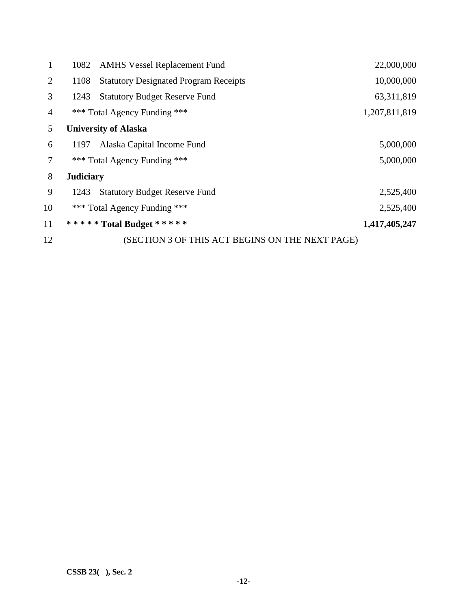| 1              | 1082             | <b>AMHS Vessel Replacement Fund</b>             | 22,000,000    |
|----------------|------------------|-------------------------------------------------|---------------|
| $\overline{2}$ | 1108             | <b>Statutory Designated Program Receipts</b>    | 10,000,000    |
| 3              | 1243             | <b>Statutory Budget Reserve Fund</b>            | 63, 311, 819  |
| 4              |                  | *** Total Agency Funding ***                    | 1,207,811,819 |
| 5              |                  | <b>University of Alaska</b>                     |               |
| 6              | 1197             | Alaska Capital Income Fund                      | 5,000,000     |
| 7              |                  | *** Total Agency Funding ***                    | 5,000,000     |
| 8              | <b>Judiciary</b> |                                                 |               |
| 9              | 1243             | <b>Statutory Budget Reserve Fund</b>            | 2,525,400     |
| 10             |                  | *** Total Agency Funding ***                    | 2,525,400     |
| 11             |                  | ***** Total Budget *****                        | 1,417,405,247 |
| 12             |                  | (SECTION 3 OF THIS ACT BEGINS ON THE NEXT PAGE) |               |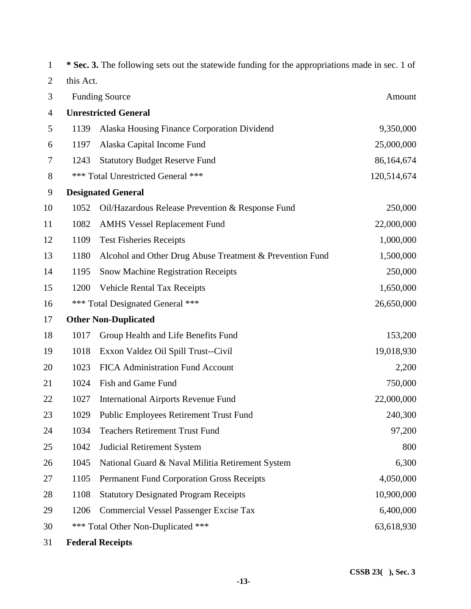| $\mathbf{1}$   |           | * Sec. 3. The following sets out the statewide funding for the appropriations made in sec. 1 of |             |
|----------------|-----------|-------------------------------------------------------------------------------------------------|-------------|
| $\overline{2}$ | this Act. |                                                                                                 |             |
| 3              |           | <b>Funding Source</b>                                                                           | Amount      |
| $\overline{4}$ |           | <b>Unrestricted General</b>                                                                     |             |
| 5              | 1139      | Alaska Housing Finance Corporation Dividend                                                     | 9,350,000   |
| 6              | 1197      | Alaska Capital Income Fund                                                                      | 25,000,000  |
| 7              | 1243      | <b>Statutory Budget Reserve Fund</b>                                                            | 86,164,674  |
| 8              |           | *** Total Unrestricted General ***                                                              | 120,514,674 |
| 9              |           | <b>Designated General</b>                                                                       |             |
| 10             | 1052      | Oil/Hazardous Release Prevention & Response Fund                                                | 250,000     |
| 11             | 1082      | <b>AMHS Vessel Replacement Fund</b>                                                             | 22,000,000  |
| 12             | 1109      | <b>Test Fisheries Receipts</b>                                                                  | 1,000,000   |
| 13             | 1180      | Alcohol and Other Drug Abuse Treatment & Prevention Fund                                        | 1,500,000   |
| 14             | 1195      | <b>Snow Machine Registration Receipts</b>                                                       | 250,000     |
| 15             | 1200      | <b>Vehicle Rental Tax Receipts</b>                                                              | 1,650,000   |
| 16             |           | *** Total Designated General ***                                                                | 26,650,000  |
| 17             |           | <b>Other Non-Duplicated</b>                                                                     |             |
| 18             | 1017      | Group Health and Life Benefits Fund                                                             | 153,200     |
| 19             | 1018      | Exxon Valdez Oil Spill Trust--Civil                                                             | 19,018,930  |
| 20             | 1023      | FICA Administration Fund Account                                                                | 2,200       |
| 21             | 1024      | Fish and Game Fund                                                                              | 750,000     |
| 22             | 1027      | <b>International Airports Revenue Fund</b>                                                      | 22,000,000  |
| 23             | 1029      | <b>Public Employees Retirement Trust Fund</b>                                                   | 240,300     |
| 24             | 1034      | <b>Teachers Retirement Trust Fund</b>                                                           | 97,200      |
| 25             | 1042      | <b>Judicial Retirement System</b>                                                               | 800         |
| 26             | 1045      | National Guard & Naval Militia Retirement System                                                | 6,300       |
| 27             | 1105      | <b>Permanent Fund Corporation Gross Receipts</b>                                                | 4,050,000   |
| 28             | 1108      | <b>Statutory Designated Program Receipts</b>                                                    | 10,900,000  |
| 29             | 1206      | <b>Commercial Vessel Passenger Excise Tax</b>                                                   | 6,400,000   |
| 30             |           | *** Total Other Non-Duplicated ***                                                              | 63,618,930  |
| 31             |           | <b>Federal Receipts</b>                                                                         |             |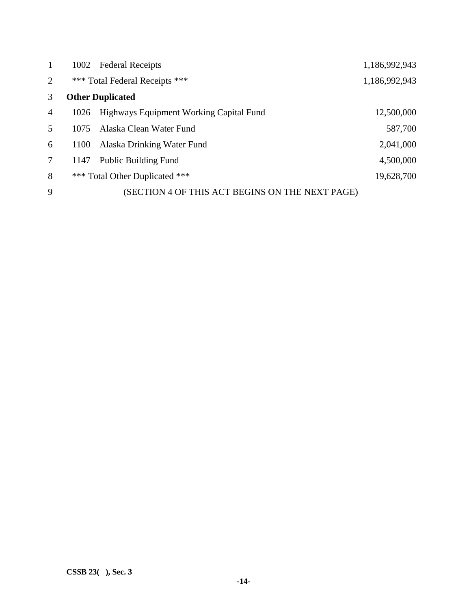| $\mathbf{1}$   |      | 1002 Federal Receipts                           | 1,186,992,943 |
|----------------|------|-------------------------------------------------|---------------|
| $\overline{2}$ |      | *** Total Federal Receipts ***                  | 1,186,992,943 |
| 3              |      | <b>Other Duplicated</b>                         |               |
| $\overline{4}$ | 1026 | Highways Equipment Working Capital Fund         | 12,500,000    |
| 5              | 1075 | Alaska Clean Water Fund                         | 587,700       |
| 6              | 1100 | Alaska Drinking Water Fund                      | 2,041,000     |
| $\tau$         | 1147 | <b>Public Building Fund</b>                     | 4,500,000     |
| 8              |      | *** Total Other Duplicated ***                  | 19,628,700    |
| 9              |      | (SECTION 4 OF THIS ACT BEGINS ON THE NEXT PAGE) |               |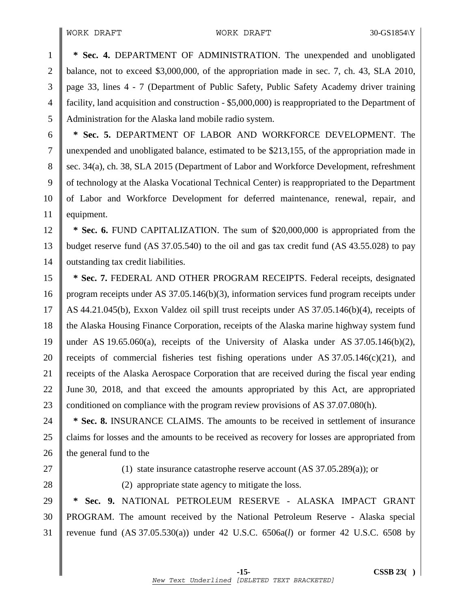1 **\* Sec. 4.** DEPARTMENT OF ADMINISTRATION. The unexpended and unobligated 2 balance, not to exceed \$3,000,000, of the appropriation made in sec. 7, ch. 43, SLA 2010, 3 page 33, lines 4 - 7 (Department of Public Safety, Public Safety Academy driver training 4 facility, land acquisition and construction - \$5,000,000) is reappropriated to the Department of 5 Administration for the Alaska land mobile radio system.

6 **\* Sec. 5.** DEPARTMENT OF LABOR AND WORKFORCE DEVELOPMENT. The 7 unexpended and unobligated balance, estimated to be \$213,155, of the appropriation made in 8 Supermum Sec. 34(a), ch. 38, SLA 2015 (Department of Labor and Workforce Development, refreshment 9 of technology at the Alaska Vocational Technical Center) is reappropriated to the Department 10 of Labor and Workforce Development for deferred maintenance, renewal, repair, and 11 | equipment.

12 **\* Sec. 6.** FUND CAPITALIZATION. The sum of \$20,000,000 is appropriated from the 13 budget reserve fund (AS 37.05.540) to the oil and gas tax credit fund (AS 43.55.028) to pay 14 | outstanding tax credit liabilities.

15 **\* Sec. 7.** FEDERAL AND OTHER PROGRAM RECEIPTS. Federal receipts, designated 16 program receipts under AS 37.05.146(b)(3), information services fund program receipts under 17 AS 44.21.045(b), Exxon Valdez oil spill trust receipts under AS 37.05.146(b)(4), receipts of 18 the Alaska Housing Finance Corporation, receipts of the Alaska marine highway system fund 19 under AS 19.65.060(a), receipts of the University of Alaska under AS 37.05.146(b)(2), 20 Teceipts of commercial fisheries test fishing operations under AS  $37.05.146(c)(21)$ , and 21 receipts of the Alaska Aerospace Corporation that are received during the fiscal year ending 22 June 30, 2018, and that exceed the amounts appropriated by this Act, are appropriated 23 conditioned on compliance with the program review provisions of AS 37.07.080(h).

24 **\* Sec. 8.** INSURANCE CLAIMS. The amounts to be received in settlement of insurance 25 claims for losses and the amounts to be received as recovery for losses are appropriated from  $26$  the general fund to the

27  $\parallel$  (1) state insurance catastrophe reserve account (AS 37.05.289(a)); or

28 (2) appropriate state agency to mitigate the loss.

29 **\* Sec. 9.** NATIONAL PETROLEUM RESERVE - ALASKA IMPACT GRANT 30 PROGRAM. The amount received by the National Petroleum Reserve - Alaska special 31 revenue fund (AS 37.05.530(a)) under 42 U.S.C. 6506a(*l*) or former 42 U.S.C. 6508 by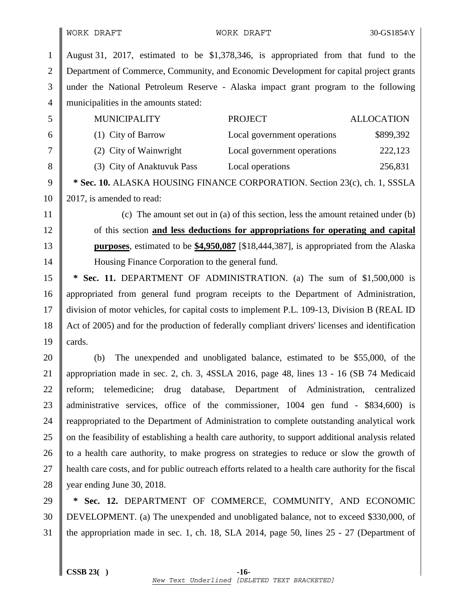1 August 31, 2017, estimated to be \$1,378,346, is appropriated from that fund to the 2 Department of Commerce, Community, and Economic Development for capital project grants 3 under the National Petroleum Reserve - Alaska impact grant program to the following 4 || municipalities in the amounts stated: 5 MUNICIPALITY PROJECT ALLOCATION 6 (1) City of Barrow Local government operations \$899,392 7 (2) City of Wainwright Local government operations 222,123 8 (3) City of Anaktuvuk Pass Local operations 256,831 9 **\* Sec. 10.** ALASKA HOUSING FINANCE CORPORATION. Section 23(c), ch. 1, SSSLA 10 | 2017, is amended to read: 11 (c) The amount set out in (a) of this section, less the amount retained under (b) 12 of this section **and less deductions for appropriations for operating and capital**  13 **purposes**, estimated to be **\$4,950,087** [\$18,444,387], is appropriated from the Alaska 14 Housing Finance Corporation to the general fund. 15 **\* Sec. 11.** DEPARTMENT OF ADMINISTRATION. (a) The sum of \$1,500,000 is 16 appropriated from general fund program receipts to the Department of Administration, 17 division of motor vehicles, for capital costs to implement P.L. 109-13, Division B (REAL ID 18 Act of 2005) and for the production of federally compliant drivers' licenses and identification 19  $\vert$  cards. 20 (b) The unexpended and unobligated balance, estimated to be \$55,000, of the 21 appropriation made in sec. 2, ch. 3, 4SSLA 2016, page 48, lines 13 - 16 (SB 74 Medicaid 22 reform; telemedicine; drug database, Department of Administration, centralized 23 deministrative services, office of the commissioner, 1004 gen fund - \$834,600) is 24 Treappropriated to the Department of Administration to complete outstanding analytical work 25 on the feasibility of establishing a health care authority, to support additional analysis related 26 to a health care authority, to make progress on strategies to reduce or slow the growth of 27 health care costs, and for public outreach efforts related to a health care authority for the fiscal 28 | year ending June 30, 2018. 29 **\* Sec. 12.** DEPARTMENT OF COMMERCE, COMMUNITY, AND ECONOMIC 30 DEVELOPMENT. (a) The unexpended and unobligated balance, not to exceed \$330,000, of 31 the appropriation made in sec. 1, ch. 18, SLA 2014, page 50, lines 25 - 27 (Department of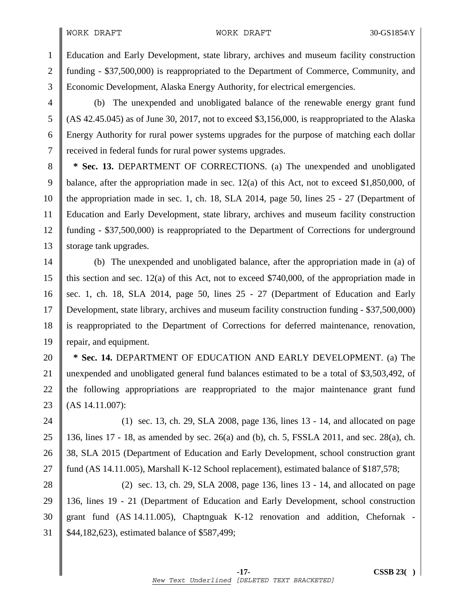#### WORK DRAFT 30-GS1854\Y

1 Education and Early Development, state library, archives and museum facility construction 2 funding - \$37,500,000) is reappropriated to the Department of Commerce, Community, and 3 Economic Development, Alaska Energy Authority, for electrical emergencies.

4 (b) The unexpended and unobligated balance of the renewable energy grant fund 5 (AS 42.45.045) as of June 30, 2017, not to exceed \$3,156,000, is reappropriated to the Alaska 6 Energy Authority for rural power systems upgrades for the purpose of matching each dollar 7 | received in federal funds for rural power systems upgrades.

8 **\* Sec. 13.** DEPARTMENT OF CORRECTIONS. (a) The unexpended and unobligated 9 balance, after the appropriation made in sec. 12(a) of this Act, not to exceed \$1,850,000, of 10 the appropriation made in sec. 1, ch. 18, SLA 2014, page 50, lines 25 - 27 (Department of 11 Education and Early Development, state library, archives and museum facility construction 12 funding - \$37,500,000) is reappropriated to the Department of Corrections for underground 13 Storage tank upgrades.

14 (b) The unexpended and unobligated balance, after the appropriation made in (a) of 15 || this section and sec. 12(a) of this Act, not to exceed \$740,000, of the appropriation made in 16 sec. 1, ch. 18, SLA 2014, page 50, lines  $25 - 27$  (Department of Education and Early 17 Development, state library, archives and museum facility construction funding - \$37,500,000) 18 is reappropriated to the Department of Corrections for deferred maintenance, renovation, 19 repair, and equipment.

**\* Sec. 14.** DEPARTMENT OF EDUCATION AND EARLY DEVELOPMENT. (a) The 21 unexpended and unobligated general fund balances estimated to be a total of \$3,503,492, of the following appropriations are reappropriated to the major maintenance grant fund  $(AS\ 14.11.007)$ :

24 (1) sec. 13, ch. 29, SLA 2008, page 136, lines 13 - 14, and allocated on page 25 136, lines 17 - 18, as amended by sec. 26(a) and (b), ch. 5, FSSLA 2011, and sec. 28(a), ch. 26 38, SLA 2015 (Department of Education and Early Development, school construction grant 27 **fund (AS 14.11.005), Marshall K-12 School replacement), estimated balance of \$187,578;** 

28 (2) sec. 13, ch. 29, SLA 2008, page 136, lines 13 - 14, and allocated on page 29 136, lines 19 - 21 (Department of Education and Early Development, school construction 30 grant fund (AS 14.11.005), Chaptnguak K-12 renovation and addition, Chefornak - 31 \$44,182,623), estimated balance of \$587,499;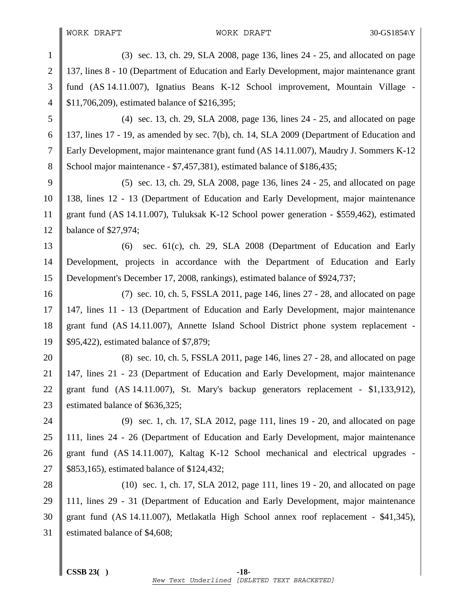1 (3) sec. 13, ch. 29, SLA 2008, page 136, lines 24 - 25, and allocated on page 2 | 137, lines 8 - 10 (Department of Education and Early Development, major maintenance grant 3 fund (AS 14.11.007), Ignatius Beans K-12 School improvement, Mountain Village - 4 | \$11,706,209), estimated balance of \$216,395; 5 (4) sec. 13, ch. 29, SLA 2008, page 136, lines 24 - 25, and allocated on page 6 137, lines 17 - 19, as amended by sec. 7(b), ch. 14, SLA 2009 (Department of Education and 7 Early Development, major maintenance grant fund (AS 14.11.007), Maudry J. Sommers K-12 8 School major maintenance - \$7,457,381), estimated balance of \$186,435; 9  $\parallel$  (5) sec. 13, ch. 29, SLA 2008, page 136, lines 24 - 25, and allocated on page 10 138, lines 12 - 13 (Department of Education and Early Development, major maintenance 11 grant fund (AS 14.11.007), Tuluksak K-12 School power generation - \$559,462), estimated 12 balance of \$27,974; 13  $\parallel$  (6) sec. 61(c), ch. 29, SLA 2008 (Department of Education and Early 14 Development, projects in accordance with the Department of Education and Early 15 Development's December 17, 2008, rankings), estimated balance of \$924,737; 16 (7) sec. 10, ch. 5, FSSLA 2011, page 146, lines 27 - 28, and allocated on page 17 147, lines 11 - 13 (Department of Education and Early Development, major maintenance 18 grant fund (AS 14.11.007), Annette Island School District phone system replacement - 19 || \$95,422), estimated balance of \$7,879; 20  $\parallel$  (8) sec. 10, ch. 5, FSSLA 2011, page 146, lines 27 - 28, and allocated on page 21 147, lines 21 - 23 (Department of Education and Early Development, major maintenance 22 grant fund  $(AS\ 14.11.007)$ , St. Mary's backup generators replacement - \$1,133,912), 23 Solution 23 Solutional estimated balance of \$636,325; 24  $\parallel$  (9) sec. 1, ch. 17, SLA 2012, page 111, lines 19 - 20, and allocated on page 25 111, lines 24 - 26 (Department of Education and Early Development, major maintenance 26 grant fund (AS 14.11.007), Kaltag K-12 School mechanical and electrical upgrades -27 **\$853,165**), estimated balance of \$124,432; 28 (10) sec. 1, ch. 17, SLA 2012, page 111, lines 19 - 20, and allocated on page 29 111, lines 29 - 31 (Department of Education and Early Development, major maintenance 30 grant fund (AS 14.11.007), Metlakatla High School annex roof replacement - \$41,345), 31 estimated balance of \$4,608;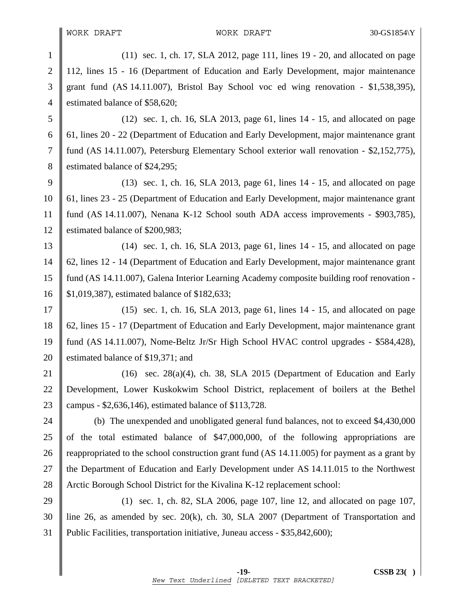1 (11) sec. 1, ch. 17, SLA 2012, page 111, lines 19 - 20, and allocated on page 2 | 112, lines 15 - 16 (Department of Education and Early Development, major maintenance  $3 \parallel$  grant fund (AS 14.11.007), Bristol Bay School voc ed wing renovation - \$1,538,395), 4 estimated balance of \$58,620;

5 (12) sec. 1, ch. 16, SLA 2013, page 61, lines 14 - 15, and allocated on page 6 61, lines 20 - 22 (Department of Education and Early Development, major maintenance grant 7 fund (AS 14.11.007), Petersburg Elementary School exterior wall renovation - \$2,152,775), 8 S estimated balance of \$24,295;

9 (13) sec. 1, ch. 16, SLA 2013, page 61, lines  $14 - 15$ , and allocated on page 10 61, lines 23 - 25 (Department of Education and Early Development, major maintenance grant 11 fund (AS 14.11.007), Nenana K-12 School south ADA access improvements - \$903,785), 12 Stimated balance of \$200,983;

13 (14) sec. 1, ch. 16, SLA 2013, page 61, lines 14 - 15, and allocated on page 14 62, lines 12 - 14 (Department of Education and Early Development, major maintenance grant 15 fund (AS 14.11.007), Galena Interior Learning Academy composite building roof renovation - 16 \$1,019,387), estimated balance of \$182,633;

17  $\parallel$  (15) sec. 1, ch. 16, SLA 2013, page 61, lines 14 - 15, and allocated on page 18 62, lines 15 - 17 (Department of Education and Early Development, major maintenance grant 19 fund (AS 14.11.007), Nome-Beltz Jr/Sr High School HVAC control upgrades - \$584,428), 20 Solution 20 Solution 20 September 20 September 20 September 20 September 20 September 20 September 20 September 20 September 20 September 20 September 20 September 20 September 20 September 20 September 20 September 20

21 (16) sec.  $28(a)(4)$ , ch. 38, SLA 2015 (Department of Education and Early 22 Development, Lower Kuskokwim School District, replacement of boilers at the Bethel 23 | campus - \$2,636,146), estimated balance of \$113,728.

24 (b) The unexpended and unobligated general fund balances, not to exceed \$4,430,000 25  $\parallel$  of the total estimated balance of \$47,000,000, of the following appropriations are 26 game 26 reappropriated to the school construction grant fund (AS  $14.11.005$ ) for payment as a grant by 27 the Department of Education and Early Development under AS 14.11.015 to the Northwest 28 Arctic Borough School District for the Kivalina K-12 replacement school:

29 (1) sec. 1, ch. 82, SLA 2006, page 107, line 12, and allocated on page 107, 30 line 26, as amended by sec. 20(k), ch. 30, SLA 2007 (Department of Transportation and 31 Public Facilities, transportation initiative, Juneau access - \$35,842,600);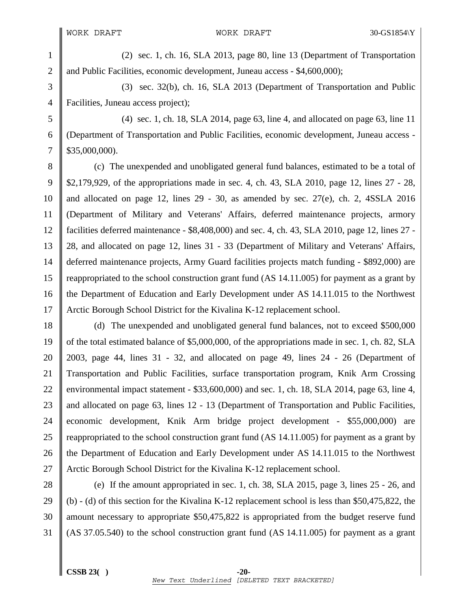1 (2) sec. 1, ch. 16, SLA 2013, page 80, line 13 (Department of Transportation 2 and Public Facilities, economic development, Juneau access - \$4,600,000);

3 (3) sec. 32(b), ch. 16, SLA 2013 (Department of Transportation and Public 4 **Facilities**, Juneau access project);

5 (4) sec. 1, ch. 18, SLA 2014, page 63, line 4, and allocated on page 63, line 11 6 (Department of Transportation and Public Facilities, economic development, Juneau access -  $7 \parallel$  \$35,000,000).

8 (c) The unexpended and unobligated general fund balances, estimated to be a total of 9 \$2,179,929, of the appropriations made in sec. 4, ch. 43, SLA 2010, page 12, lines 27 - 28, 10 || and allocated on page 12, lines 29 - 30, as amended by sec. 27(e), ch. 2, 4SSLA 2016 11 (Department of Military and Veterans' Affairs, deferred maintenance projects, armory 12 facilities deferred maintenance - \$8,408,000) and sec. 4, ch. 43, SLA 2010, page 12, lines 27 - 13 28, and allocated on page 12, lines 31 - 33 (Department of Military and Veterans' Affairs, 14 deferred maintenance projects, Army Guard facilities projects match funding - \$892,000) are 15 reappropriated to the school construction grant fund (AS 14.11.005) for payment as a grant by 16 the Department of Education and Early Development under AS 14.11.015 to the Northwest 17 Arctic Borough School District for the Kivalina K-12 replacement school.

18 (d) The unexpended and unobligated general fund balances, not to exceed \$500,000 19 of the total estimated balance of \$5,000,000, of the appropriations made in sec. 1, ch. 82, SLA 20  $\parallel$  2003, page 44, lines 31 - 32, and allocated on page 49, lines 24 - 26 (Department of 21 Transportation and Public Facilities, surface transportation program, Knik Arm Crossing 22 environmental impact statement -  $$33,600,000$  and sec. 1, ch. 18, SLA 2014, page 63, line 4, 23 || and allocated on page 63, lines 12 - 13 (Department of Transportation and Public Facilities, 24 economic development, Knik Arm bridge project development - \$55,000,000) are 25  $\parallel$  reappropriated to the school construction grant fund (AS 14.11.005) for payment as a grant by 26 the Department of Education and Early Development under AS 14.11.015 to the Northwest 27 Arctic Borough School District for the Kivalina K-12 replacement school.

28 (e) If the amount appropriated in sec. 1, ch. 38, SLA 2015, page 3, lines 25 - 26, and 29 (b) - (d) of this section for the Kivalina K-12 replacement school is less than \$50,475,822, the 30 amount necessary to appropriate \$50,475,822 is appropriated from the budget reserve fund 31 (AS 37.05.540) to the school construction grant fund (AS 14.11.005) for payment as a grant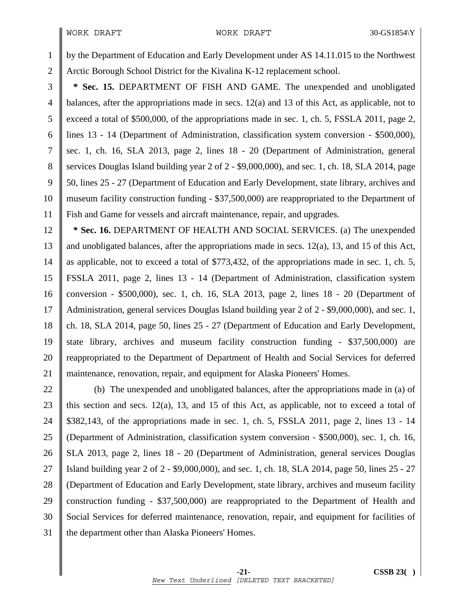1 by the Department of Education and Early Development under AS 14.11.015 to the Northwest 2 Arctic Borough School District for the Kivalina K-12 replacement school.

3 **\* Sec. 15.** DEPARTMENT OF FISH AND GAME. The unexpended and unobligated 4 balances, after the appropriations made in secs. 12(a) and 13 of this Act, as applicable, not to 5 exceed a total of \$500,000, of the appropriations made in sec. 1, ch. 5, FSSLA 2011, page 2, 6 lines 13 - 14 (Department of Administration, classification system conversion - \$500,000), 7 sec. 1, ch. 16, SLA 2013, page 2, lines 18 - 20 (Department of Administration, general 8 S ervices Douglas Island building year 2 of 2 - \$9,000,000), and sec. 1, ch. 18, SLA 2014, page 9 50, lines 25 - 27 (Department of Education and Early Development, state library, archives and 10 museum facility construction funding - \$37,500,000) are reappropriated to the Department of 11 Fish and Game for vessels and aircraft maintenance, repair, and upgrades.

12 **\* Sec. 16.** DEPARTMENT OF HEALTH AND SOCIAL SERVICES. (a) The unexpended 13 and unobligated balances, after the appropriations made in secs. 12(a), 13, and 15 of this Act, 14 as applicable, not to exceed a total of \$773,432, of the appropriations made in sec. 1, ch. 5, 15 FSSLA 2011, page 2, lines 13 - 14 (Department of Administration, classification system 16 conversion - \$500,000), sec. 1, ch. 16, SLA 2013, page 2, lines 18 - 20 (Department of 17 Administration, general services Douglas Island building year 2 of 2 - \$9,000,000), and sec. 1, 18 ch. 18, SLA 2014, page 50, lines 25 - 27 (Department of Education and Early Development, 19 state library, archives and museum facility construction funding - \$37,500,000) are 20 **reappropriated to the Department of Department of Health and Social Services for deferred** 21 maintenance, renovation, repair, and equipment for Alaska Pioneers' Homes.

22 (b) The unexpended and unobligated balances, after the appropriations made in (a) of 23 || this section and secs. 12(a), 13, and 15 of this Act, as applicable, not to exceed a total of 24 \$382,143, of the appropriations made in sec. 1, ch. 5, FSSLA 2011, page 2, lines 13 - 14 25 (Department of Administration, classification system conversion - \$500,000), sec. 1, ch. 16, 26 SLA 2013, page 2, lines 18 - 20 (Department of Administration, general services Douglas 27 Island building year 2 of 2 - \$9,000,000), and sec. 1, ch. 18, SLA 2014, page 50, lines 25 - 27 28 (Department of Education and Early Development, state library, archives and museum facility 29 construction funding -  $$37,500,000$  are reappropriated to the Department of Health and 30 Social Services for deferred maintenance, renovation, repair, and equipment for facilities of  $31$  || the department other than Alaska Pioneers' Homes.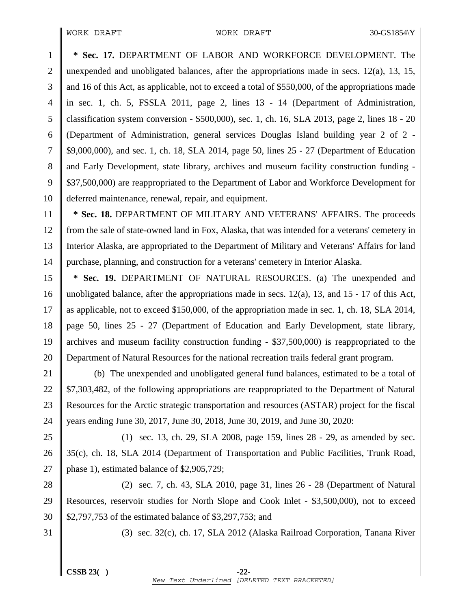1 **\* Sec. 17.** DEPARTMENT OF LABOR AND WORKFORCE DEVELOPMENT. The 2 unexpended and unobligated balances, after the appropriations made in secs. 12(a), 13, 15, 3 and 16 of this Act, as applicable, not to exceed a total of \$550,000, of the appropriations made 4 in sec. 1, ch. 5, FSSLA 2011, page 2, lines 13 - 14 (Department of Administration, 5 classification system conversion - \$500,000), sec. 1, ch. 16, SLA 2013, page 2, lines 18 - 20 6 (Department of Administration, general services Douglas Island building year 2 of 2 - 7 \$9,000,000), and sec. 1, ch. 18, SLA 2014, page 50, lines 25 - 27 (Department of Education 8 and Early Development, state library, archives and museum facility construction funding -9  $\parallel$  \$37,500,000) are reappropriated to the Department of Labor and Workforce Development for 10 deferred maintenance, renewal, repair, and equipment.

11 **\* Sec. 18.** DEPARTMENT OF MILITARY AND VETERANS' AFFAIRS. The proceeds 12 from the sale of state-owned land in Fox, Alaska, that was intended for a veterans' cemetery in 13 Interior Alaska, are appropriated to the Department of Military and Veterans' Affairs for land 14 purchase, planning, and construction for a veterans' cemetery in Interior Alaska.

15 **\* Sec. 19.** DEPARTMENT OF NATURAL RESOURCES. (a) The unexpended and 16 || unobligated balance, after the appropriations made in secs. 12(a), 13, and 15 - 17 of this Act, 17 as applicable, not to exceed \$150,000, of the appropriation made in sec. 1, ch. 18, SLA 2014, 18 page 50, lines 25 - 27 (Department of Education and Early Development, state library, 19 archives and museum facility construction funding - \$37,500,000) is reappropriated to the 20 Department of Natural Resources for the national recreation trails federal grant program.

21 (b) The unexpended and unobligated general fund balances, estimated to be a total of 22  $\parallel$  \$7,303,482, of the following appropriations are reappropriated to the Department of Natural 23 Resources for the Arctic strategic transportation and resources (ASTAR) project for the fiscal 24 years ending June 30, 2017, June 30, 2018, June 30, 2019, and June 30, 2020:

25 (1) sec. 13, ch. 29, SLA 2008, page 159, lines 28 - 29, as amended by sec. 26 35(c), ch. 18, SLA 2014 (Department of Transportation and Public Facilities, Trunk Road, 27 | phase 1), estimated balance of \$2,905,729;

28 (2) sec. 7, ch. 43, SLA 2010, page 31, lines 26 - 28 (Department of Natural 29 Resources, reservoir studies for North Slope and Cook Inlet - \$3,500,000), not to exceed 30 \$2,797,753 of the estimated balance of \$3,297,753; and

31 (3) sec. 32(c), ch. 17, SLA 2012 (Alaska Railroad Corporation, Tanana River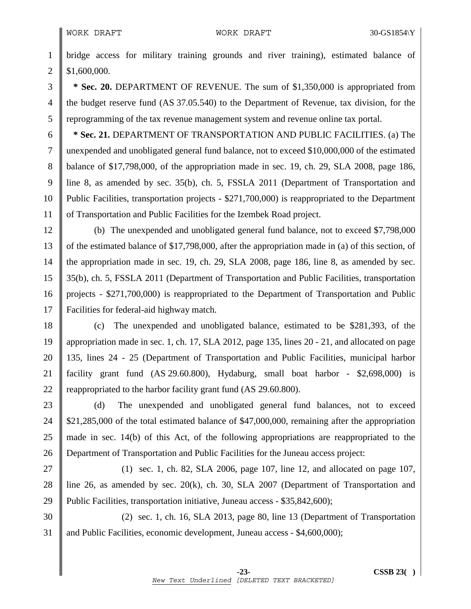1 bridge access for military training grounds and river training), estimated balance of  $2 \parallel$  \$1,600,000.

3 **\* Sec. 20.** DEPARTMENT OF REVENUE. The sum of \$1,350,000 is appropriated from 4 the budget reserve fund (AS 37.05.540) to the Department of Revenue, tax division, for the 5 reprogramming of the tax revenue management system and revenue online tax portal.

6 **\* Sec. 21.** DEPARTMENT OF TRANSPORTATION AND PUBLIC FACILITIES. (a) The 7 unexpended and unobligated general fund balance, not to exceed \$10,000,000 of the estimated 8 balance of \$17,798,000, of the appropriation made in sec. 19, ch. 29, SLA 2008, page 186, 9 line 8, as amended by sec. 35(b), ch. 5, FSSLA 2011 (Department of Transportation and 10 Public Facilities, transportation projects - \$271,700,000) is reappropriated to the Department 11 of Transportation and Public Facilities for the Izembek Road project.

12 (b) The unexpended and unobligated general fund balance, not to exceed \$7,798,000 13 of the estimated balance of \$17,798,000, after the appropriation made in (a) of this section, of 14 the appropriation made in sec. 19, ch. 29, SLA 2008, page 186, line 8, as amended by sec. 15 35(b), ch. 5, FSSLA 2011 (Department of Transportation and Public Facilities, transportation 16 projects - \$271,700,000) is reappropriated to the Department of Transportation and Public 17 Facilities for federal-aid highway match.

18 (c) The unexpended and unobligated balance, estimated to be \$281,393, of the 19 appropriation made in sec. 1, ch. 17, SLA 2012, page 135, lines 20 - 21, and allocated on page 20 135, lines 24 - 25 (Department of Transportation and Public Facilities, municipal harbor 21 facility grant fund (AS 29.60.800), Hydaburg, small boat harbor - \$2,698,000) is 22  $\parallel$  reappropriated to the harbor facility grant fund (AS 29.60.800).

23 (d) The unexpended and unobligated general fund balances, not to exceed 24 \$21,285,000 of the total estimated balance of \$47,000,000, remaining after the appropriation 25 made in sec. 14(b) of this Act, of the following appropriations are reappropriated to the 26 Department of Transportation and Public Facilities for the Juneau access project:

27 (1) sec. 1, ch. 82, SLA 2006, page 107, line 12, and allocated on page 107, 28 line 26, as amended by sec. 20(k), ch. 30, SLA 2007 (Department of Transportation and 29 Public Facilities, transportation initiative, Juneau access - \$35,842,600);

30 (2) sec. 1, ch. 16, SLA 2013, page 80, line 13 (Department of Transportation 31 and Public Facilities, economic development, Juneau access - \$4,600,000);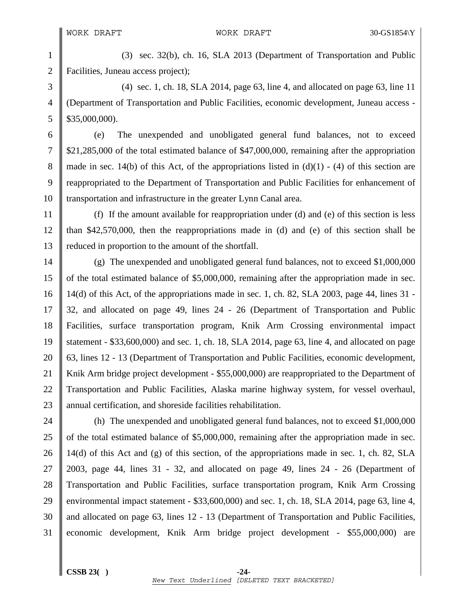1 (3) sec. 32(b), ch. 16, SLA 2013 (Department of Transportation and Public 2 **Facilities**, Juneau access project);

3 (4) sec. 1, ch. 18, SLA 2014, page 63, line 4, and allocated on page 63, line 11 4 (Department of Transportation and Public Facilities, economic development, Juneau access -  $5 \parallel$  \$35,000,000).

6 (e) The unexpended and unobligated general fund balances, not to exceed 7 \$21,285,000 of the total estimated balance of \$47,000,000, remaining after the appropriation 8 made in sec. 14(b) of this Act, of the appropriations listed in  $(d)(1) - (4)$  of this section are 9 reappropriated to the Department of Transportation and Public Facilities for enhancement of 10 Transportation and infrastructure in the greater Lynn Canal area.

11 (f) If the amount available for reappropriation under (d) and (e) of this section is less 12  $\parallel$  than \$42,570,000, then the reappropriations made in (d) and (e) of this section shall be 13 reduced in proportion to the amount of the shortfall.

14 (g) The unexpended and unobligated general fund balances, not to exceed \$1,000,000 15 of the total estimated balance of \$5,000,000, remaining after the appropriation made in sec. 16  $\parallel$  14(d) of this Act, of the appropriations made in sec. 1, ch. 82, SLA 2003, page 44, lines 31 -17 32, and allocated on page 49, lines 24 - 26 (Department of Transportation and Public 18 Facilities, surface transportation program, Knik Arm Crossing environmental impact 19 statement - \$33,600,000) and sec. 1, ch. 18, SLA 2014, page 63, line 4, and allocated on page 20 63, lines 12 - 13 (Department of Transportation and Public Facilities, economic development, 21 Knik Arm bridge project development - \$55,000,000) are reappropriated to the Department of 22 Transportation and Public Facilities, Alaska marine highway system, for vessel overhaul, 23 annual certification, and shoreside facilities rehabilitation.

24 (h) The unexpended and unobligated general fund balances, not to exceed \$1,000,000 25 of the total estimated balance of \$5,000,000, remaining after the appropriation made in sec. 26 || 14(d) of this Act and (g) of this section, of the appropriations made in sec. 1, ch. 82, SLA 27  $\parallel$  2003, page 44, lines 31 - 32, and allocated on page 49, lines 24 - 26 (Department of 28 Transportation and Public Facilities, surface transportation program, Knik Arm Crossing 29 environmental impact statement -  $$33,600,000$  and sec. 1, ch. 18, SLA 2014, page 63, line 4, 30 and allocated on page 63, lines 12 - 13 (Department of Transportation and Public Facilities, 31 economic development, Knik Arm bridge project development - \$55,000,000) are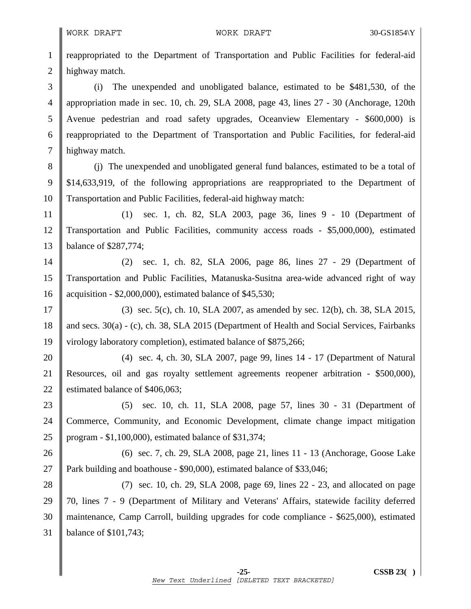1 reappropriated to the Department of Transportation and Public Facilities for federal-aid 2 | highway match. 3 (i) The unexpended and unobligated balance, estimated to be \$481,530, of the 4 appropriation made in sec. 10, ch. 29, SLA 2008, page 43, lines 27 - 30 (Anchorage, 120th 5 Avenue pedestrian and road safety upgrades, Oceanview Elementary - \$600,000) is  $6 \parallel$  reappropriated to the Department of Transportation and Public Facilities, for federal-aid 7 highway match. 8 (j) The unexpended and unobligated general fund balances, estimated to be a total of 9 \$14,633,919, of the following appropriations are reappropriated to the Department of 10 Transportation and Public Facilities, federal-aid highway match: 11 (1) sec. 1, ch. 82, SLA 2003, page 36, lines 9 - 10 (Department of 12 Transportation and Public Facilities, community access roads - \$5,000,000), estimated 13 balance of \$287,774; 14 (2) sec. 1, ch. 82, SLA 2006, page 86, lines 27 - 29 (Department of 15 Transportation and Public Facilities, Matanuska-Susitna area-wide advanced right of way 16 acquisition - \$2,000,000), estimated balance of \$45,530; 17 (3) sec. 5(c), ch. 10, SLA 2007, as amended by sec. 12(b), ch. 38, SLA 2015, 18 and secs. 30(a) - (c), ch. 38, SLA 2015 (Department of Health and Social Services, Fairbanks 19 | virology laboratory completion), estimated balance of \$875,266; 20 (4) sec. 4, ch. 30, SLA 2007, page 99, lines 14 - 17 (Department of Natural 21 Resources, oil and gas royalty settlement agreements reopener arbitration - \$500,000), 22 Solution 22 Solution 22 Solution 2.3 estimated balance of \$406,063; 23 (5) sec. 10, ch. 11, SLA 2008, page 57, lines 30 - 31 (Department of 24 Commerce, Community, and Economic Development, climate change impact mitigation 25 program - \$1,100,000), estimated balance of \$31,374; 26 (6) sec. 7, ch. 29, SLA 2008, page 21, lines 11 - 13 (Anchorage, Goose Lake 27 Park building and boathouse - \$90,000), estimated balance of \$33,046; 28 (7) sec. 10, ch. 29, SLA 2008, page 69, lines 22 - 23, and allocated on page 29 70, lines 7 - 9 (Department of Military and Veterans' Affairs, statewide facility deferred 30 maintenance, Camp Carroll, building upgrades for code compliance - \$625,000), estimated 31 balance of \$101,743;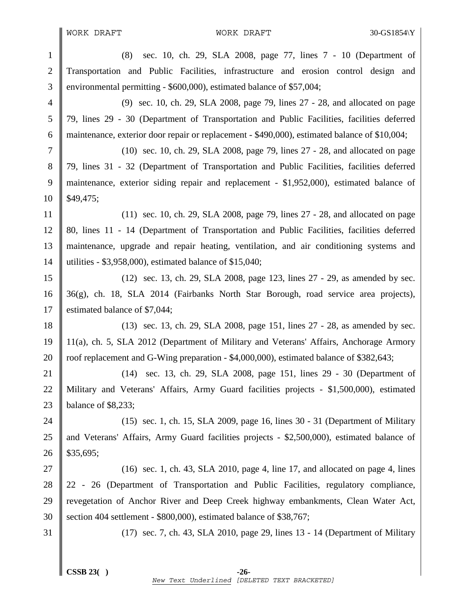WORK DRAFT WORK DRAFT 30-GS1854\Y

1 (8) sec. 10, ch. 29, SLA 2008, page 77, lines 7 - 10 (Department of 2 Transportation and Public Facilities, infrastructure and erosion control design and 3 environmental permitting - \$600,000), estimated balance of \$57,004;

4 (9) sec. 10, ch. 29, SLA 2008, page 79, lines 27 - 28, and allocated on page 5 79, lines 29 - 30 (Department of Transportation and Public Facilities, facilities deferred 6 maintenance, exterior door repair or replacement - \$490,000), estimated balance of \$10,004;

7 (10) sec. 10, ch. 29, SLA 2008, page 79, lines 27 - 28, and allocated on page 8 79, lines 31 - 32 (Department of Transportation and Public Facilities, facilities deferred 9 maintenance, exterior siding repair and replacement - \$1,952,000), estimated balance of  $10 \parallel$  \$49,475;

11 (11) sec. 10, ch. 29, SLA 2008, page 79, lines 27 - 28, and allocated on page 12 80, lines 11 - 14 (Department of Transportation and Public Facilities, facilities deferred 13 maintenance, upgrade and repair heating, ventilation, and air conditioning systems and 14 utilities - \$3,958,000), estimated balance of \$15,040;

15 (12) sec. 13, ch. 29, SLA 2008, page 123, lines 27 - 29, as amended by sec. 16  $\parallel$  36(g), ch. 18, SLA 2014 (Fairbanks North Star Borough, road service area projects), 17 Solution 17 Setunated balance of \$7,044;

18 (13) sec. 13, ch. 29, SLA 2008, page 151, lines 27 - 28, as amended by sec. 19 11(a), ch. 5, SLA 2012 (Department of Military and Veterans' Affairs, Anchorage Armory 20 Troof replacement and G-Wing preparation - \$4,000,000), estimated balance of \$382,643;

21 (14) sec. 13, ch. 29, SLA 2008, page 151, lines 29 - 30 (Department of 22 Military and Veterans' Affairs, Army Guard facilities projects - \$1,500,000), estimated 23 balance of \$8,233;

24 (15) sec. 1, ch. 15, SLA 2009, page 16, lines 30 - 31 (Department of Military 25 and Veterans' Affairs, Army Guard facilities projects - \$2,500,000), estimated balance of  $26 \parallel$  \$35,695;

27  $\parallel$  (16) sec. 1, ch. 43, SLA 2010, page 4, line 17, and allocated on page 4, lines 28 22 - 26 (Department of Transportation and Public Facilities, regulatory compliance, 29 Trevegetation of Anchor River and Deep Creek highway embankments, Clean Water Act, 30 Section 404 settlement - \$800,000), estimated balance of \$38,767;

31 (17) sec. 7, ch. 43, SLA 2010, page 29, lines 13 - 14 (Department of Military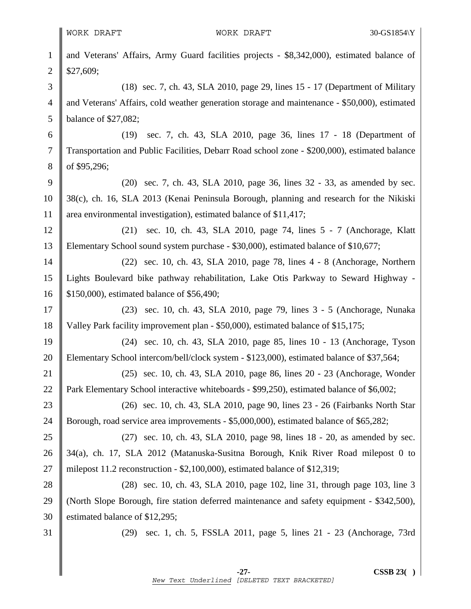II

| $\mathbf{1}$   | and Veterans' Affairs, Army Guard facilities projects - \$8,342,000), estimated balance of    |
|----------------|-----------------------------------------------------------------------------------------------|
| $\overline{2}$ | \$27,609;                                                                                     |
| 3              | (18) sec. 7, ch. 43, SLA 2010, page 29, lines 15 - 17 (Department of Military                 |
| $\overline{4}$ | and Veterans' Affairs, cold weather generation storage and maintenance - \$50,000), estimated |
| 5              | balance of $$27,082$ ;                                                                        |
| 6              | sec. 7, ch. 43, SLA 2010, page 36, lines 17 - 18 (Department of<br>(19)                       |
| 7              | Transportation and Public Facilities, Debarr Road school zone - \$200,000), estimated balance |
| 8              | of \$95,296;                                                                                  |
| 9              | (20) sec. 7, ch. 43, SLA 2010, page 36, lines 32 - 33, as amended by sec.                     |
| 10             | 38(c), ch. 16, SLA 2013 (Kenai Peninsula Borough, planning and research for the Nikiski       |
| 11             | area environmental investigation), estimated balance of \$11,417;                             |
| 12             | (21) sec. 10, ch. 43, SLA 2010, page 74, lines 5 - 7 (Anchorage, Klatt                        |
| 13             | Elementary School sound system purchase - \$30,000), estimated balance of \$10,677;           |
| 14             | (22) sec. 10, ch. 43, SLA 2010, page 78, lines 4 - 8 (Anchorage, Northern                     |
| 15             | Lights Boulevard bike pathway rehabilitation, Lake Otis Parkway to Seward Highway -           |
| 16             | \$150,000), estimated balance of \$56,490;                                                    |
| 17             | (23) sec. 10, ch. 43, SLA 2010, page 79, lines 3 - 5 (Anchorage, Nunaka                       |
| 18             | Valley Park facility improvement plan - \$50,000), estimated balance of \$15,175;             |
| 19             | (24) sec. 10, ch. 43, SLA 2010, page 85, lines 10 - 13 (Anchorage, Tyson                      |
| 20             | Elementary School intercom/bell/clock system - \$123,000), estimated balance of \$37,564;     |
| 21             | (25) sec. 10, ch. 43, SLA 2010, page 86, lines 20 - 23 (Anchorage, Wonder                     |
| 22             | Park Elementary School interactive whiteboards - \$99,250), estimated balance of \$6,002;     |
| 23             | (26) sec. 10, ch. 43, SLA 2010, page 90, lines 23 - 26 (Fairbanks North Star                  |
| 24             | Borough, road service area improvements - \$5,000,000), estimated balance of \$65,282;        |
| 25             | (27) sec. 10, ch. 43, SLA 2010, page 98, lines 18 - 20, as amended by sec.                    |
| 26             | 34(a), ch. 17, SLA 2012 (Matanuska-Susitna Borough, Knik River Road milepost 0 to             |
| 27             | milepost 11.2 reconstruction - $$2,100,000$ , estimated balance of $$12,319$ ;                |
| 28             | $(28)$ sec. 10, ch. 43, SLA 2010, page 102, line 31, through page 103, line 3                 |
| 29             | (North Slope Borough, fire station deferred maintenance and safety equipment - \$342,500),    |
| 30             | estimated balance of \$12,295;                                                                |
| 31             | sec. 1, ch. 5, FSSLA 2011, page 5, lines 21 - 23 (Anchorage, 73rd<br>(29)                     |
|                |                                                                                               |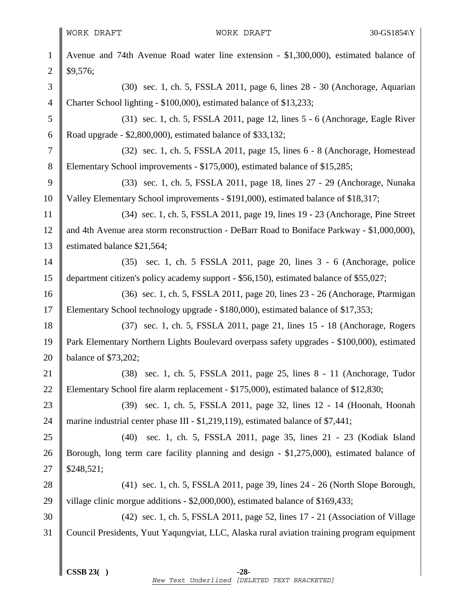1 Avenue and 74th Avenue Road water line extension - \$1,300,000), estimated balance of  $2 \parallel$  \$9,576; 3 (30) sec. 1, ch. 5, FSSLA 2011, page 6, lines 28 - 30 (Anchorage, Aquarian 4 Charter School lighting - \$100,000), estimated balance of \$13,233; 5 (31) sec. 1, ch. 5, FSSLA 2011, page 12, lines 5 - 6 (Anchorage, Eagle River 6 Road upgrade - \$2,800,000), estimated balance of \$33,132; 7 (32) sec. 1, ch. 5, FSSLA 2011, page 15, lines 6 - 8 (Anchorage, Homestead 8 Elementary School improvements - \$175,000), estimated balance of \$15,285; 9 (33) sec. 1, ch. 5, FSSLA 2011, page 18, lines 27 - 29 (Anchorage, Nunaka 10 Valley Elementary School improvements - \$191,000), estimated balance of \$18,317; 11 (34) sec. 1, ch. 5, FSSLA 2011, page 19, lines 19 - 23 (Anchorage, Pine Street 12 and 4th Avenue area storm reconstruction - DeBarr Road to Boniface Parkway - \$1,000,000), 13 Solution 13 Solution 13 Solution 13 Solution 1.564; 14 (35) sec. 1, ch. 5 FSSLA 2011, page 20, lines 3 - 6 (Anchorage, police 15 department citizen's policy academy support - \$56,150), estimated balance of \$55,027; 16 (36) sec. 1, ch. 5, FSSLA 2011, page 20, lines 23 - 26 (Anchorage, Ptarmigan 17 Elementary School technology upgrade - \$180,000), estimated balance of \$17,353; 18 (37) sec. 1, ch. 5, FSSLA 2011, page 21, lines 15 - 18 (Anchorage, Rogers 19 Park Elementary Northern Lights Boulevard overpass safety upgrades - \$100,000), estimated 20 balance of \$73,202; 21 (38) sec. 1, ch. 5, FSSLA 2011, page 25, lines 8 - 11 (Anchorage, Tudor 22 Elementary School fire alarm replacement - \$175,000), estimated balance of \$12,830; 23 (39) sec. 1, ch. 5, FSSLA 2011, page 32, lines 12 - 14 (Hoonah, Hoonah 24 marine industrial center phase III - \$1,219,119), estimated balance of \$7,441; 25 (40) sec. 1, ch. 5, FSSLA 2011, page 35, lines 21 - 23 (Kodiak Island 26 Borough, long term care facility planning and design - \$1,275,000), estimated balance of  $27 \parallel$  \$248,521; 28 (41) sec. 1, ch. 5, FSSLA 2011, page 39, lines 24 - 26 (North Slope Borough, 29 village clinic morgue additions  $-$  \$2,000,000), estimated balance of \$169,433; 30 (42) sec. 1, ch. 5, FSSLA 2011, page 52, lines 17 - 21 (Association of Village 31 Council Presidents, Yuut Yaqungviat, LLC, Alaska rural aviation training program equipment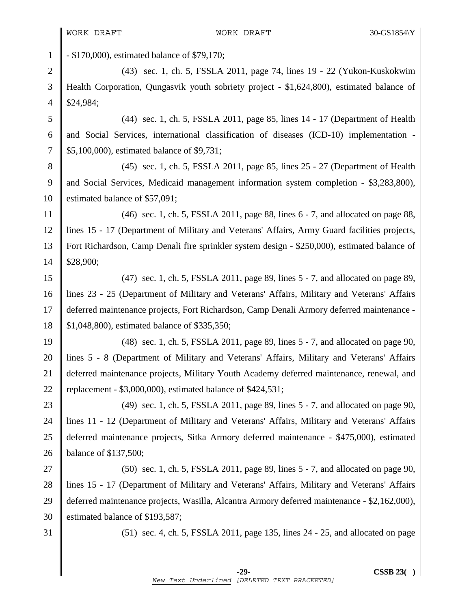1 - \$170,000), estimated balance of \$79,170;

2 (43) sec. 1, ch. 5, FSSLA 2011, page 74, lines 19 - 22 (Yukon-Kuskokwim 3 Health Corporation, Qungasvik youth sobriety project - \$1,624,800), estimated balance of 4  $\parallel$  \$24,984;

5 (44) sec. 1, ch. 5, FSSLA 2011, page 85, lines 14 - 17 (Department of Health  $6$  and Social Services, international classification of diseases (ICD-10) implementation -7 | \$5,100,000), estimated balance of \$9,731;

8 (45) sec. 1, ch. 5, FSSLA 2011, page 85, lines 25 - 27 (Department of Health 9 and Social Services, Medicaid management information system completion - \$3,283,800), 10 Stimated balance of \$57,091;

11  $\parallel$  (46) sec. 1, ch. 5, FSSLA 2011, page 88, lines 6 - 7, and allocated on page 88, 12 lines 15 - 17 (Department of Military and Veterans' Affairs, Army Guard facilities projects, 13 Fort Richardson, Camp Denali fire sprinkler system design - \$250,000), estimated balance of 14 | \$28,900;

15 (47) sec. 1, ch. 5, FSSLA 2011, page 89, lines 5 - 7, and allocated on page 89, 16 lines 23 - 25 (Department of Military and Veterans' Affairs, Military and Veterans' Affairs 17 deferred maintenance projects, Fort Richardson, Camp Denali Armory deferred maintenance - 18 | \$1,048,800), estimated balance of \$335,350;

19 (48) sec. 1, ch. 5, FSSLA 2011, page 89, lines 5 - 7, and allocated on page 90, 20 | lines 5 - 8 (Department of Military and Veterans' Affairs, Military and Veterans' Affairs 21 deferred maintenance projects, Military Youth Academy deferred maintenance, renewal, and 22 | replacement -  $$3,000,000$ , estimated balance of  $$424,531$ ;

23 (49) sec. 1, ch. 5, FSSLA 2011, page 89, lines 5 - 7, and allocated on page 90, 24 lines 11 - 12 (Department of Military and Veterans' Affairs, Military and Veterans' Affairs 25 deferred maintenance projects, Sitka Armory deferred maintenance - \$475,000), estimated 26 **balance of \$137,500**;

27  $\parallel$  (50) sec. 1, ch. 5, FSSLA 2011, page 89, lines 5 - 7, and allocated on page 90, 28 lines 15 - 17 (Department of Military and Veterans' Affairs, Military and Veterans' Affairs 29 deferred maintenance projects, Wasilla, Alcantra Armory deferred maintenance - \$2,162,000), 30 Solution S193,587;

31 (51) sec. 4, ch. 5, FSSLA 2011, page 135, lines 24 - 25, and allocated on page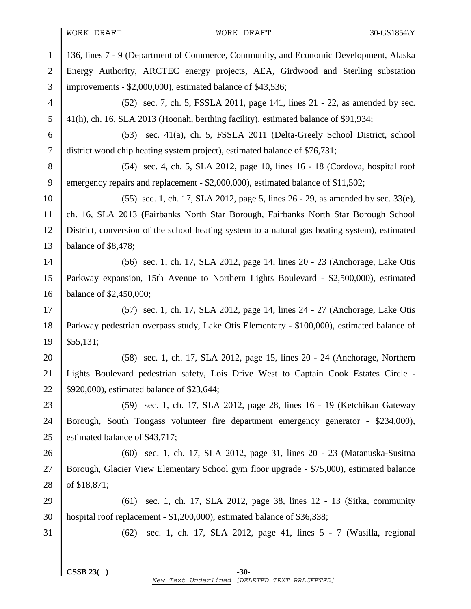# WORK DRAFT WORK DRAFT 30-GS1854\Y

| $\mathbf{1}$   | 136, lines 7 - 9 (Department of Commerce, Community, and Economic Development, Alaska         |  |  |
|----------------|-----------------------------------------------------------------------------------------------|--|--|
| $\overline{2}$ | Energy Authority, ARCTEC energy projects, AEA, Girdwood and Sterling substation               |  |  |
| 3              | improvements - \$2,000,000), estimated balance of \$43,536;                                   |  |  |
| $\overline{4}$ | (52) sec. 7, ch. 5, FSSLA 2011, page 141, lines 21 - 22, as amended by sec.                   |  |  |
| 5              | 41(h), ch. 16, SLA 2013 (Hoonah, berthing facility), estimated balance of \$91,934;           |  |  |
| 6              | (53) sec. 41(a), ch. 5, FSSLA 2011 (Delta-Greely School District, school                      |  |  |
| 7              | district wood chip heating system project), estimated balance of \$76,731;                    |  |  |
| 8              | (54) sec. 4, ch. 5, SLA 2012, page 10, lines 16 - 18 (Cordova, hospital roof                  |  |  |
| 9              | emergency repairs and replacement - \$2,000,000), estimated balance of \$11,502;              |  |  |
| 10             | (55) sec. 1, ch. 17, SLA 2012, page 5, lines 26 - 29, as amended by sec. 33(e),               |  |  |
| 11             | ch. 16, SLA 2013 (Fairbanks North Star Borough, Fairbanks North Star Borough School           |  |  |
| 12             | District, conversion of the school heating system to a natural gas heating system), estimated |  |  |
| 13             | balance of \$8,478;                                                                           |  |  |
| 14             | (56) sec. 1, ch. 17, SLA 2012, page 14, lines 20 - 23 (Anchorage, Lake Otis                   |  |  |
| 15             | Parkway expansion, 15th Avenue to Northern Lights Boulevard - \$2,500,000), estimated         |  |  |
| 16             | balance of \$2,450,000;                                                                       |  |  |
| 17             | (57) sec. 1, ch. 17, SLA 2012, page 14, lines 24 - 27 (Anchorage, Lake Otis                   |  |  |
| 18             | Parkway pedestrian overpass study, Lake Otis Elementary - \$100,000), estimated balance of    |  |  |
| 19             | \$55,131;                                                                                     |  |  |
| 20             | (58) sec. 1, ch. 17, SLA 2012, page 15, lines 20 - 24 (Anchorage, Northern                    |  |  |
| 21             | Lights Boulevard pedestrian safety, Lois Drive West to Captain Cook Estates Circle -          |  |  |
| 22             | \$920,000), estimated balance of \$23,644;                                                    |  |  |
| 23             | (59) sec. 1, ch. 17, SLA 2012, page 28, lines 16 - 19 (Ketchikan Gateway                      |  |  |
| 24             | Borough, South Tongass volunteer fire department emergency generator - \$234,000),            |  |  |
| 25             | estimated balance of \$43,717;                                                                |  |  |
| 26             | (60) sec. 1, ch. 17, SLA 2012, page 31, lines 20 - 23 (Matanuska-Susitna                      |  |  |
| 27             | Borough, Glacier View Elementary School gym floor upgrade - \$75,000), estimated balance      |  |  |
| 28             | of \$18,871;                                                                                  |  |  |
| 29             | (61) sec. 1, ch. 17, SLA 2012, page 38, lines 12 - 13 (Sitka, community                       |  |  |
| 30             | hospital roof replacement - \$1,200,000), estimated balance of \$36,338;                      |  |  |
| 31             | sec. 1, ch. 17, SLA 2012, page 41, lines 5 - 7 (Wasilla, regional<br>(62)                     |  |  |
|                |                                                                                               |  |  |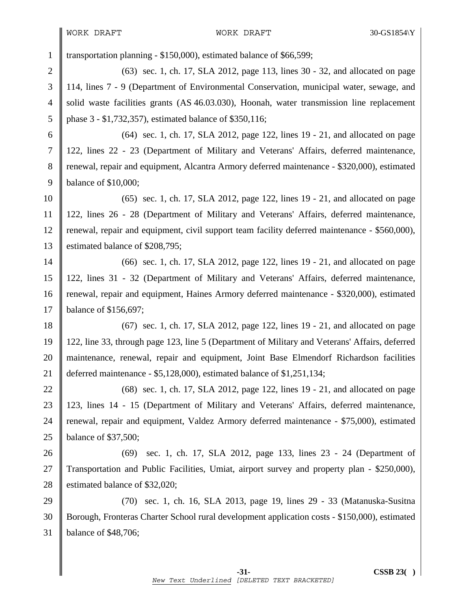1 transportation planning - \$150,000), estimated balance of \$66,599;

2 (63) sec. 1, ch. 17, SLA 2012, page 113, lines 30 - 32, and allocated on page 3 114, lines 7 - 9 (Department of Environmental Conservation, municipal water, sewage, and 4 solid waste facilities grants (AS 46.03.030), Hoonah, water transmission line replacement 5 | phase 3 - \$1,732,357), estimated balance of \$350,116;

6 (64) sec. 1, ch. 17, SLA 2012, page 122, lines 19 - 21, and allocated on page 7 122, lines 22 - 23 (Department of Military and Veterans' Affairs, deferred maintenance, 8 Tenewal, repair and equipment, Alcantra Armory deferred maintenance - \$320,000), estimated 9 balance of \$10,000;

10 (65) sec. 1, ch. 17, SLA 2012, page 122, lines 19 - 21, and allocated on page 11 122, lines 26 - 28 (Department of Military and Veterans' Affairs, deferred maintenance, 12 Tenewal, repair and equipment, civil support team facility deferred maintenance - \$560,000), 13 Solution 13 Solution 13 Solution 13 Solution 13.1 Solution 1.3 Solution 1.3 Solution 1.3 Solution 1.3 Solution 1.3 Solution 1.3 Solution 1.3 Solution 1.3 Solution 1.3 Solution 1.3 Solution 1.3 Solution 1.3 Solution 1.3

14 (66) sec. 1, ch. 17, SLA 2012, page 122, lines 19 - 21, and allocated on page 15 122, lines 31 - 32 (Department of Military and Veterans' Affairs, deferred maintenance, 16 renewal, repair and equipment, Haines Armory deferred maintenance - \$320,000), estimated 17 **balance of \$156,697;** 

18 (67) sec. 1, ch. 17, SLA 2012, page 122, lines 19 - 21, and allocated on page 19 122, line 33, through page 123, line 5 (Department of Military and Veterans' Affairs, deferred 20 maintenance, renewal, repair and equipment, Joint Base Elmendorf Richardson facilities 21 deferred maintenance - \$5,128,000), estimated balance of \$1,251,134;

22 (68) sec. 1, ch. 17, SLA 2012, page 122, lines 19 - 21, and allocated on page 23 123, lines 14 - 15 (Department of Military and Veterans' Affairs, deferred maintenance, 24 Trenewal, repair and equipment, Valdez Armory deferred maintenance - \$75,000), estimated 25 balance of \$37,500;

26 (69) sec. 1, ch. 17, SLA 2012, page 133, lines 23 - 24 (Department of 27 Transportation and Public Facilities, Umiat, airport survey and property plan - \$250,000), 28 estimated balance of \$32,020;

29 (70) sec. 1, ch. 16, SLA 2013, page 19, lines 29 - 33 (Matanuska-Susitna 30 Borough, Fronteras Charter School rural development application costs - \$150,000), estimated 31 balance of \$48,706;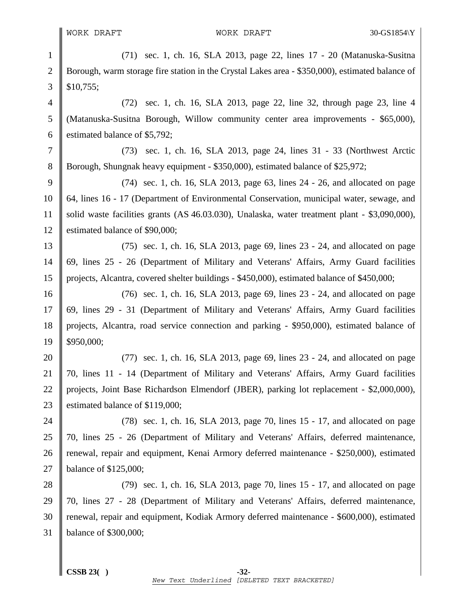1 (71) sec. 1, ch. 16, SLA 2013, page 22, lines 17 - 20 (Matanuska-Susitna 2 Borough, warm storage fire station in the Crystal Lakes area - \$350,000), estimated balance of  $3 \parallel$  \$10,755; 4 (72) sec. 1, ch. 16, SLA 2013, page 22, line 32, through page 23, line 4 5 (Matanuska-Susitna Borough, Willow community center area improvements - \$65,000), 6 Solution 6 stimated balance of \$5,792; 7 (73) sec. 1, ch. 16, SLA 2013, page 24, lines 31 - 33 (Northwest Arctic 8 Borough, Shungnak heavy equipment - \$350,000), estimated balance of \$25,972; 9 (74) sec. 1, ch. 16, SLA 2013, page 63, lines  $24 - 26$ , and allocated on page 10 64, lines 16 - 17 (Department of Environmental Conservation, municipal water, sewage, and 11 solid waste facilities grants (AS 46.03.030), Unalaska, water treatment plant - \$3,090,000), 12 Stimated balance of \$90,000; 13 (75) sec. 1, ch. 16, SLA 2013, page 69, lines 23 - 24, and allocated on page 14 69, lines 25 - 26 (Department of Military and Veterans' Affairs, Army Guard facilities 15 projects, Alcantra, covered shelter buildings - \$450,000), estimated balance of \$450,000; 16 (76) sec. 1, ch. 16, SLA 2013, page 69, lines 23 - 24, and allocated on page 17 69, lines 29 - 31 (Department of Military and Veterans' Affairs, Army Guard facilities 18 projects, Alcantra, road service connection and parking - \$950,000), estimated balance of  $19 \parallel$  \$950,000; 20 (77) sec. 1, ch. 16, SLA 2013, page 69, lines 23 - 24, and allocated on page 21 70, lines 11 - 14 (Department of Military and Veterans' Affairs, Army Guard facilities 22 projects, Joint Base Richardson Elmendorf (JBER), parking lot replacement - \$2,000,000), 23 Solution 23 Solution 23 Solution 23 Solution 2.3 Solution 2.3 Solution 2.3 Solution 2.3 Solution 2.3 Solution 2.3 Solution 2.3 Solution 2.3 Solution 2.4 Solution 2.4 Solution 2.4 Solution 2.4 Solution 2.4 Solution 2.4 24 (78) sec. 1, ch. 16, SLA 2013, page 70, lines 15 - 17, and allocated on page 25 70, lines 25 - 26 (Department of Military and Veterans' Affairs, deferred maintenance, 26 Trenewal, repair and equipment, Kenai Armory deferred maintenance - \$250,000), estimated 27 balance of \$125,000; 28 (79) sec. 1, ch. 16, SLA 2013, page 70, lines 15 - 17, and allocated on page 29 70, lines 27 - 28 (Department of Military and Veterans' Affairs, deferred maintenance, 30 Tenewal, repair and equipment, Kodiak Armory deferred maintenance - \$600,000), estimated 31 balance of \$300,000;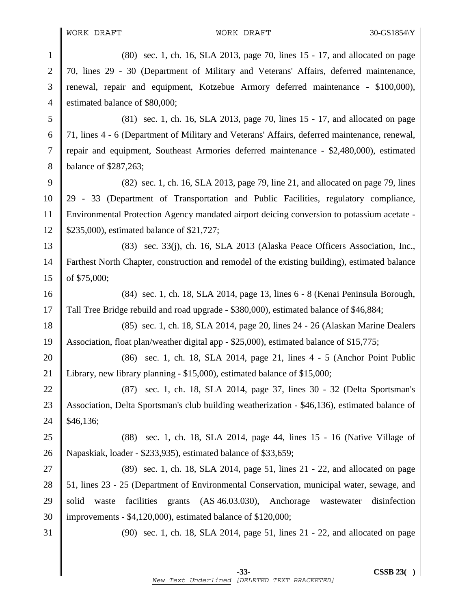1 (80) sec. 1, ch. 16, SLA 2013, page 70, lines 15 - 17, and allocated on page 2 70, lines 29 - 30 (Department of Military and Veterans' Affairs, deferred maintenance, 3 renewal, repair and equipment, Kotzebue Armory deferred maintenance - \$100,000), 4 estimated balance of \$80,000; 5 (81) sec. 1, ch. 16, SLA 2013, page 70, lines 15 - 17, and allocated on page 6 71, lines 4 - 6 (Department of Military and Veterans' Affairs, deferred maintenance, renewal, 7 repair and equipment, Southeast Armories deferred maintenance - \$2,480,000), estimated 8 **balance of \$287,263**; 9  $\parallel$  (82) sec. 1, ch. 16, SLA 2013, page 79, line 21, and allocated on page 79, lines 10 29 - 33 (Department of Transportation and Public Facilities, regulatory compliance, 11 Environmental Protection Agency mandated airport deicing conversion to potassium acetate - 12 | \$235,000), estimated balance of \$21,727; 13 (83) sec. 33(j), ch. 16, SLA 2013 (Alaska Peace Officers Association, Inc., 14 Farthest North Chapter, construction and remodel of the existing building), estimated balance 15  $\|$  of \$75,000; 16 (84) sec. 1, ch. 18, SLA 2014, page 13, lines 6 - 8 (Kenai Peninsula Borough, 17 Tall Tree Bridge rebuild and road upgrade - \$380,000), estimated balance of \$46,884; 18 (85) sec. 1, ch. 18, SLA 2014, page 20, lines 24 - 26 (Alaskan Marine Dealers 19 Association, float plan/weather digital app - \$25,000), estimated balance of \$15,775; 20 (86) sec. 1, ch. 18, SLA 2014, page 21, lines 4 - 5 (Anchor Point Public 21 Library, new library planning - \$15,000), estimated balance of \$15,000; 22 (87) sec. 1, ch. 18, SLA 2014, page 37, lines 30 - 32 (Delta Sportsman's 23 Association, Delta Sportsman's club building weatherization - \$46,136), estimated balance of  $24 \parallel $46,136;$ 25 (88) sec. 1, ch. 18, SLA 2014, page 44, lines 15 - 16 (Native Village of 26 Napaskiak, loader - \$233,935), estimated balance of \$33,659; 27  $\parallel$  (89) sec. 1, ch. 18, SLA 2014, page 51, lines 21 - 22, and allocated on page 28 51, lines 23 - 25 (Department of Environmental Conservation, municipal water, sewage, and 29 solid waste facilities grants (AS 46.03.030), Anchorage wastewater disinfection  $30 \parallel$  improvements - \$4,120,000), estimated balance of \$120,000; 31 (90) sec. 1, ch. 18, SLA 2014, page 51, lines 21 - 22, and allocated on page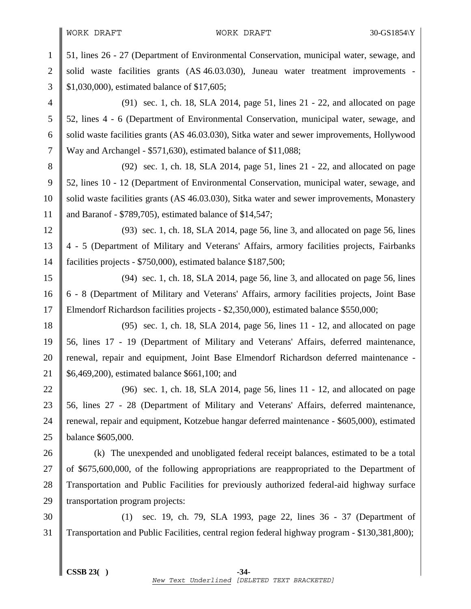WORK DRAFT WORK DRAFT 30-GS1854\Y

1 51, lines 26 - 27 (Department of Environmental Conservation, municipal water, sewage, and 2 solid waste facilities grants  $(AS\,46.03.030)$ , Juneau water treatment improvements -3 \$1,030,000), estimated balance of \$17,605; 4 (91) sec. 1, ch. 18, SLA 2014, page 51, lines 21 - 22, and allocated on page 5 52, lines 4 - 6 (Department of Environmental Conservation, municipal water, sewage, and 6 Solid waste facilities grants (AS 46.03.030), Sitka water and sewer improvements, Hollywood 7 Way and Archangel - \$571,630), estimated balance of \$11,088; 8 (92) sec. 1, ch. 18, SLA 2014, page 51, lines 21 - 22, and allocated on page 9 52, lines 10 - 12 (Department of Environmental Conservation, municipal water, sewage, and 10 Solid waste facilities grants (AS 46.03.030), Sitka water and sewer improvements, Monastery 11 and Baranof - \$789,705), estimated balance of \$14,547; 12 (93) sec. 1, ch. 18, SLA 2014, page 56, line 3, and allocated on page 56, lines 13 4 - 5 (Department of Military and Veterans' Affairs, armory facilities projects, Fairbanks 14 facilities projects - \$750,000), estimated balance \$187,500; 15 (94) sec. 1, ch. 18, SLA 2014, page 56, line 3, and allocated on page 56, lines 16 | 6 - 8 (Department of Military and Veterans' Affairs, armory facilities projects, Joint Base 17 Elmendorf Richardson facilities projects - \$2,350,000), estimated balance \$550,000; 18 (95) sec. 1, ch. 18, SLA 2014, page 56, lines 11 - 12, and allocated on page 19 56, lines 17 - 19 (Department of Military and Veterans' Affairs, deferred maintenance, 20 || renewal, repair and equipment, Joint Base Elmendorf Richardson deferred maintenance -21 \$6,469,200), estimated balance \$661,100; and 22 (96) sec. 1, ch. 18, SLA 2014, page 56, lines 11 - 12, and allocated on page 23 || 56, lines 27 - 28 (Department of Military and Veterans' Affairs, deferred maintenance, 24 Trenewal, repair and equipment, Kotzebue hangar deferred maintenance - \$605,000), estimated 25 balance \$605,000. 26 (k) The unexpended and unobligated federal receipt balances, estimated to be a total 27  $\parallel$  of \$675,600,000, of the following appropriations are reappropriated to the Department of 28 Transportation and Public Facilities for previously authorized federal-aid highway surface 29 Transportation program projects: 30 (1) sec. 19, ch. 79, SLA 1993, page 22, lines 36 - 37 (Department of 31 Transportation and Public Facilities, central region federal highway program - \$130,381,800);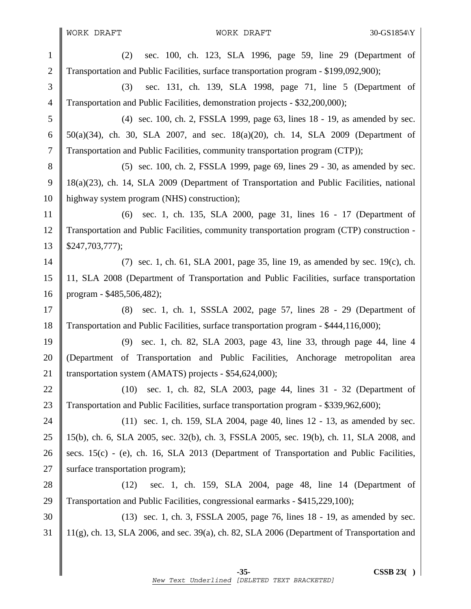1 (2) sec. 100, ch. 123, SLA 1996, page 59, line 29 (Department of 2 Transportation and Public Facilities, surface transportation program - \$199,092,900); 3 (3) sec. 131, ch. 139, SLA 1998, page 71, line 5 (Department of 4 Transportation and Public Facilities, demonstration projects - \$32,200,000); 5 (4) sec. 100, ch. 2, FSSLA 1999, page 63, lines 18 - 19, as amended by sec. 6  $\parallel$  50(a)(34), ch. 30, SLA 2007, and sec. 18(a)(20), ch. 14, SLA 2009 (Department of 7 Transportation and Public Facilities, community transportation program (CTP)); 8 (5) sec. 100, ch. 2, FSSLA 1999, page 69, lines 29 - 30, as amended by sec. 9 18(a)(23), ch. 14, SLA 2009 (Department of Transportation and Public Facilities, national 10 highway system program (NHS) construction); 11 (6) sec. 1, ch. 135, SLA 2000, page 31, lines 16 - 17 (Department of 12 Transportation and Public Facilities, community transportation program (CTP) construction -  $13 \parallel$  \$247,703,777); 14 (7) sec. 1, ch. 61, SLA 2001, page 35, line 19, as amended by sec. 19(c), ch. 15 11, SLA 2008 (Department of Transportation and Public Facilities, surface transportation 16 program - \$485,506,482); 17 (8) sec. 1, ch. 1, SSSLA 2002, page 57, lines 28 - 29 (Department of 18 Transportation and Public Facilities, surface transportation program - \$444,116,000); 19 (9) sec. 1, ch. 82, SLA 2003, page 43, line 33, through page 44, line 4 20 (Department of Transportation and Public Facilities, Anchorage metropolitan area 21 Transportation system (AMATS) projects - \$54,624,000); 22 (10) sec. 1, ch. 82, SLA 2003, page 44, lines 31 - 32 (Department of 23 Transportation and Public Facilities, surface transportation program - \$339,962,600); 24  $\parallel$  (11) sec. 1, ch. 159, SLA 2004, page 40, lines 12 - 13, as amended by sec. 25 15(b), ch. 6, SLA 2005, sec. 32(b), ch. 3, FSSLA 2005, sec. 19(b), ch. 11, SLA 2008, and 26 secs. 15(c) - (e), ch. 16, SLA 2013 (Department of Transportation and Public Facilities, 27  $\parallel$  surface transportation program); 28 (12) sec. 1, ch. 159, SLA 2004, page 48, line 14 (Department of 29 Transportation and Public Facilities, congressional earmarks - \$415,229,100); 30 (13) sec. 1, ch. 3, FSSLA 2005, page 76, lines 18 - 19, as amended by sec. 31 11(g), ch. 13, SLA 2006, and sec. 39(a), ch. 82, SLA 2006 (Department of Transportation and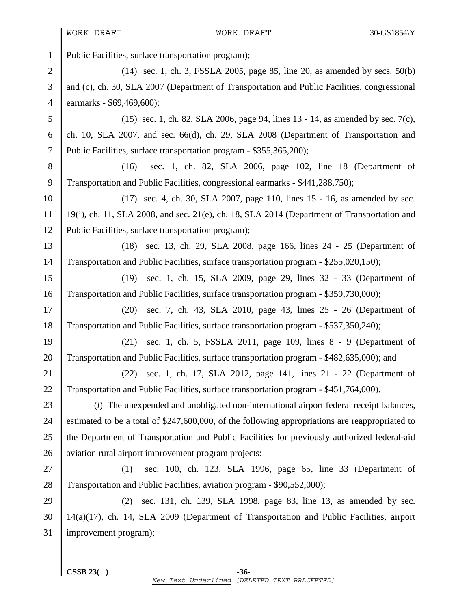WORK DRAFT WORK DRAFT 30-GS1854\Y

1 Public Facilities, surface transportation program); 2 (14) sec. 1, ch. 3, FSSLA 2005, page 85, line 20, as amended by secs. 50(b) 3 and (c), ch. 30, SLA 2007 (Department of Transportation and Public Facilities, congressional 4 | earmarks -  $$69,469,600$ ; 5 (15) sec. 1, ch. 82, SLA 2006, page 94, lines 13 - 14, as amended by sec. 7(c), 6 ch. 10, SLA 2007, and sec. 66(d), ch. 29, SLA 2008 (Department of Transportation and 7 Public Facilities, surface transportation program - \$355,365,200); 8 (16) sec. 1, ch. 82, SLA 2006, page 102, line 18 (Department of 9 Transportation and Public Facilities, congressional earmarks - \$441,288,750); 10 (17) sec. 4, ch. 30, SLA 2007, page 110, lines 15 - 16, as amended by sec. 11 | 19(i), ch. 11, SLA 2008, and sec. 21(e), ch. 18, SLA 2014 (Department of Transportation and 12 Public Facilities, surface transportation program); 13 (18) sec. 13, ch. 29, SLA 2008, page 166, lines 24 - 25 (Department of 14 Transportation and Public Facilities, surface transportation program - \$255,020,150); 15 (19) sec. 1, ch. 15, SLA 2009, page 29, lines 32 - 33 (Department of 16 Transportation and Public Facilities, surface transportation program - \$359,730,000); 17 (20) sec. 7, ch. 43, SLA 2010, page 43, lines 25 - 26 (Department of 18 Transportation and Public Facilities, surface transportation program - \$537,350,240); 19 (21) sec. 1, ch. 5, FSSLA 2011, page 109, lines 8 - 9 (Department of 20 Transportation and Public Facilities, surface transportation program - \$482,635,000); and 21 (22) sec. 1, ch. 17, SLA 2012, page 141, lines 21 - 22 (Department of 22 Transportation and Public Facilities, surface transportation program - \$451,764,000). 23 (*l*) The unexpended and unobligated non-international airport federal receipt balances, 24 estimated to be a total of \$247,600,000, of the following appropriations are reappropriated to 25 the Department of Transportation and Public Facilities for previously authorized federal-aid 26 aviation rural airport improvement program projects: 27 (1) sec. 100, ch. 123, SLA 1996, page 65, line 33 (Department of 28 Transportation and Public Facilities, aviation program - \$90,552,000); 29 (2) sec. 131, ch. 139, SLA 1998, page 83, line 13, as amended by sec. 30 14(a)(17), ch. 14, SLA 2009 (Department of Transportation and Public Facilities, airport 31 | improvement program);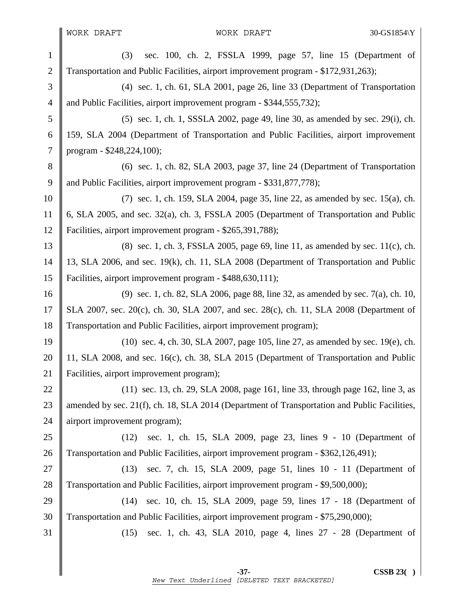WORK DRAFT WORK DRAFT 30-GS1854\Y

1 (3) sec. 100, ch. 2, FSSLA 1999, page 57, line 15 (Department of 2 Transportation and Public Facilities, airport improvement program - \$172,931,263); 3 (4) sec. 1, ch. 61, SLA 2001, page 26, line 33 (Department of Transportation 4 and Public Facilities, airport improvement program - \$344,555,732); 5 (5) sec. 1, ch. 1, SSSLA 2002, page 49, line 30, as amended by sec. 29(i), ch. 6 159, SLA 2004 (Department of Transportation and Public Facilities, airport improvement 7 program - \$248,224,100); 8 (6) sec. 1, ch. 82, SLA 2003, page 37, line 24 (Department of Transportation 9 and Public Facilities, airport improvement program - \$331,877,778); 10 (7) sec. 1, ch. 159, SLA 2004, page 35, line 22, as amended by sec. 15(a), ch. 11  $\parallel$  6, SLA 2005, and sec. 32(a), ch. 3, FSSLA 2005 (Department of Transportation and Public 12 Facilities, airport improvement program - \$265,391,788); 13 (8) sec. 1, ch. 3, FSSLA 2005, page 69, line 11, as amended by sec. 11(c), ch. 14 13, SLA 2006, and sec. 19(k), ch. 11, SLA 2008 (Department of Transportation and Public 15 Facilities, airport improvement program - \$488,630,111); 16 (9) sec. 1, ch. 82, SLA 2006, page 88, line 32, as amended by sec. 7(a), ch. 10, 17 SLA 2007, sec. 20(c), ch. 30, SLA 2007, and sec. 28(c), ch. 11, SLA 2008 (Department of 18 Transportation and Public Facilities, airport improvement program); 19 (10) sec. 4, ch. 30, SLA 2007, page 105, line 27, as amended by sec. 19(e), ch. 20 11, SLA 2008, and sec. 16(c), ch. 38, SLA 2015 (Department of Transportation and Public 21 Facilities, airport improvement program); 22 (11) sec. 13, ch. 29, SLA 2008, page 161, line 33, through page 162, line 3, as 23 amended by sec. 21(f), ch. 18, SLA 2014 (Department of Transportation and Public Facilities, 24 || airport improvement program); 25 (12) sec. 1, ch. 15, SLA 2009, page 23, lines 9 - 10 (Department of 26 Transportation and Public Facilities, airport improvement program - \$362,126,491); 27 (13) sec. 7, ch. 15, SLA 2009, page 51, lines 10 - 11 (Department of 28 Transportation and Public Facilities, airport improvement program - \$9,500,000); 29 (14) sec. 10, ch. 15, SLA 2009, page 59, lines 17 - 18 (Department of 30 Transportation and Public Facilities, airport improvement program - \$75,290,000); 31 (15) sec. 1, ch. 43, SLA 2010, page 4, lines 27 - 28 (Department of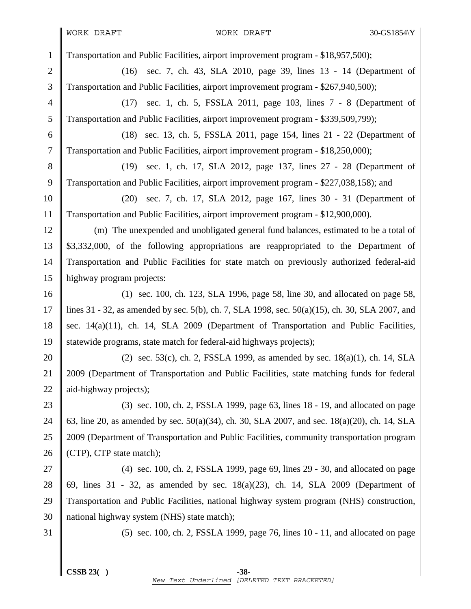1 Transportation and Public Facilities, airport improvement program - \$18,957,500); 2 (16) sec. 7, ch. 43, SLA 2010, page 39, lines 13 - 14 (Department of 3 Transportation and Public Facilities, airport improvement program - \$267,940,500); 4 (17) sec. 1, ch. 5, FSSLA 2011, page 103, lines 7 - 8 (Department of 5 Transportation and Public Facilities, airport improvement program - \$339,509,799); 6 (18) sec. 13, ch. 5, FSSLA 2011, page 154, lines 21 - 22 (Department of 7 Transportation and Public Facilities, airport improvement program - \$18,250,000); 8 (19) sec. 1, ch. 17, SLA 2012, page 137, lines 27 - 28 (Department of 9 Transportation and Public Facilities, airport improvement program - \$227,038,158); and 10 (20) sec. 7, ch. 17, SLA 2012, page 167, lines 30 - 31 (Department of 11 Transportation and Public Facilities, airport improvement program - \$12,900,000). 12 (m) The unexpended and unobligated general fund balances, estimated to be a total of 13 \$3,332,000, of the following appropriations are reappropriated to the Department of 14 Transportation and Public Facilities for state match on previously authorized federal-aid 15 highway program projects: 16 (1) sec. 100, ch. 123, SLA 1996, page 58, line 30, and allocated on page 58, 17 lines 31 - 32, as amended by sec. 5(b), ch. 7, SLA 1998, sec. 50(a)(15), ch. 30, SLA 2007, and 18 sec. 14(a)(11), ch. 14, SLA 2009 (Department of Transportation and Public Facilities, 19 Statewide programs, state match for federal-aid highways projects); 20 (2) sec. 53(c), ch. 2, FSSLA 1999, as amended by sec.  $18(a)(1)$ , ch. 14, SLA 21 2009 (Department of Transportation and Public Facilities, state matching funds for federal 22  $\parallel$  aid-highway projects); 23 (3) sec. 100, ch. 2, FSSLA 1999, page 63, lines 18 - 19, and allocated on page 24  $\parallel$  63, line 20, as amended by sec. 50(a)(34), ch. 30, SLA 2007, and sec. 18(a)(20), ch. 14, SLA 25 2009 (Department of Transportation and Public Facilities, community transportation program 26  $\parallel$  (CTP), CTP state match); 27  $\parallel$  (4) sec. 100, ch. 2, FSSLA 1999, page 69, lines 29 - 30, and allocated on page 28  $\parallel$  69, lines 31 - 32, as amended by sec. 18(a)(23), ch. 14, SLA 2009 (Department of 29 Transportation and Public Facilities, national highway system program (NHS) construction, 30  $\parallel$  national highway system (NHS) state match); 31 (5) sec. 100, ch. 2, FSSLA 1999, page 76, lines 10 - 11, and allocated on page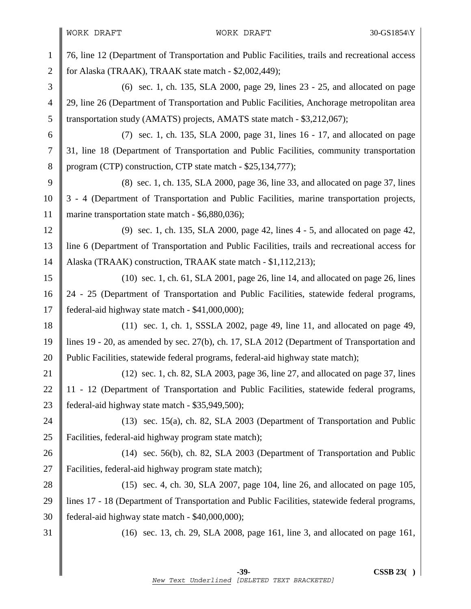1 76, line 12 (Department of Transportation and Public Facilities, trails and recreational access 2 for Alaska (TRAAK), TRAAK state match -  $$2,002,449$ ); 3 (6) sec. 1, ch. 135, SLA 2000, page 29, lines 23 - 25, and allocated on page 4 29, line 26 (Department of Transportation and Public Facilities, Anchorage metropolitan area 5 Transportation study (AMATS) projects, AMATS state match - \$3,212,067); 6 (7) sec. 1, ch. 135, SLA 2000, page 31, lines 16 - 17, and allocated on page 7 31, line 18 (Department of Transportation and Public Facilities, community transportation 8 program (CTP) construction, CTP state match - \$25,134,777); 9 (8) sec. 1, ch. 135, SLA 2000, page 36, line 33, and allocated on page 37, lines 10 3 - 4 (Department of Transportation and Public Facilities, marine transportation projects, 11 marine transportation state match - \$6,880,036); 12 (9) sec. 1, ch. 135, SLA 2000, page 42, lines 4 - 5, and allocated on page 42, 13 line 6 (Department of Transportation and Public Facilities, trails and recreational access for 14 | Alaska (TRAAK) construction, TRAAK state match - \$1,112,213); 15 (10) sec. 1, ch. 61, SLA 2001, page 26, line 14, and allocated on page 26, lines 16 24 - 25 (Department of Transportation and Public Facilities, statewide federal programs, 17 | federal-aid highway state match - \$41,000,000); 18 (11) sec. 1, ch. 1, SSSLA 2002, page 49, line 11, and allocated on page 49, 19 lines 19 - 20, as amended by sec. 27(b), ch. 17, SLA 2012 (Department of Transportation and 20 Public Facilities, statewide federal programs, federal-aid highway state match); 21  $\parallel$  (12) sec. 1, ch. 82, SLA 2003, page 36, line 27, and allocated on page 37, lines 22 | 11 - 12 (Department of Transportation and Public Facilities, statewide federal programs, 23 federal-aid highway state match - \$35,949,500); 24 (13) sec. 15(a), ch. 82, SLA 2003 (Department of Transportation and Public 25 **Facilities**, federal-aid highway program state match); 26 (14) sec. 56(b), ch. 82, SLA 2003 (Department of Transportation and Public 27 Facilities, federal-aid highway program state match); 28 (15) sec. 4, ch. 30, SLA 2007, page 104, line 26, and allocated on page 105, 29 lines 17 - 18 (Department of Transportation and Public Facilities, statewide federal programs, 30  $\parallel$  federal-aid highway state match - \$40,000,000); 31 (16) sec. 13, ch. 29, SLA 2008, page 161, line 3, and allocated on page 161,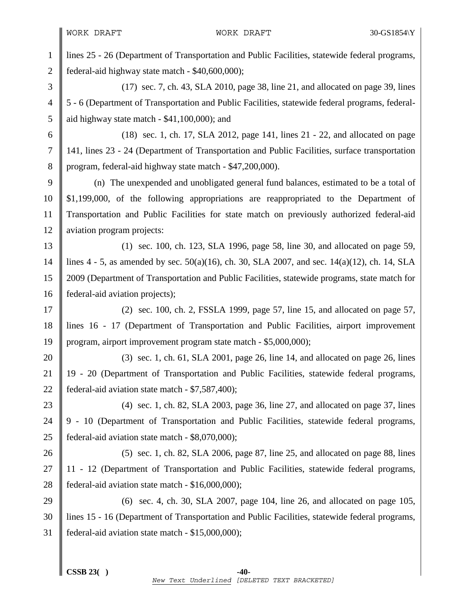1 lines 25 - 26 (Department of Transportation and Public Facilities, statewide federal programs, 2  $\parallel$  federal-aid highway state match - \$40,600,000);

3 (17) sec. 7, ch. 43, SLA 2010, page 38, line 21, and allocated on page 39, lines 4 5 - 6 (Department of Transportation and Public Facilities, statewide federal programs, federal-5  $\parallel$  aid highway state match - \$41,100,000); and

6 (18) sec. 1, ch. 17, SLA 2012, page 141, lines 21 - 22, and allocated on page 7 141, lines 23 - 24 (Department of Transportation and Public Facilities, surface transportation 8 program, federal-aid highway state match - \$47,200,000).

9 (n) The unexpended and unobligated general fund balances, estimated to be a total of 10 \$1,199,000, of the following appropriations are reappropriated to the Department of 11 Transportation and Public Facilities for state match on previously authorized federal-aid 12 | aviation program projects:

13 (1) sec. 100, ch. 123, SLA 1996, page 58, line 30, and allocated on page 59, 14 lines 4 - 5, as amended by sec. 50(a)(16), ch. 30, SLA 2007, and sec. 14(a)(12), ch. 14, SLA 15 2009 (Department of Transportation and Public Facilities, statewide programs, state match for 16 **f** federal-aid aviation projects);

17  $\parallel$  (2) sec. 100, ch. 2, FSSLA 1999, page 57, line 15, and allocated on page 57, 18 lines 16 - 17 (Department of Transportation and Public Facilities, airport improvement 19 program, airport improvement program state match - \$5,000,000);

20  $\parallel$  (3) sec. 1, ch. 61, SLA 2001, page 26, line 14, and allocated on page 26, lines 21 19 - 20 (Department of Transportation and Public Facilities, statewide federal programs, 22 | federal-aid aviation state match -  $$7,587,400$ ;

23 (4) sec. 1, ch. 82, SLA 2003, page 36, line 27, and allocated on page 37, lines 24 9 - 10 (Department of Transportation and Public Facilities, statewide federal programs, 25 **federal-aid aviation state match - \$8,070,000);** 

26 (5) sec. 1, ch. 82, SLA 2006, page 87, line 25, and allocated on page 88, lines 27 || 11 - 12 (Department of Transportation and Public Facilities, statewide federal programs, 28  $\parallel$  federal-aid aviation state match - \$16,000,000);

29 (6) sec. 4, ch. 30, SLA 2007, page 104, line 26, and allocated on page 105, 30 lines 15 - 16 (Department of Transportation and Public Facilities, statewide federal programs, 31 federal-aid aviation state match - \$15,000,000);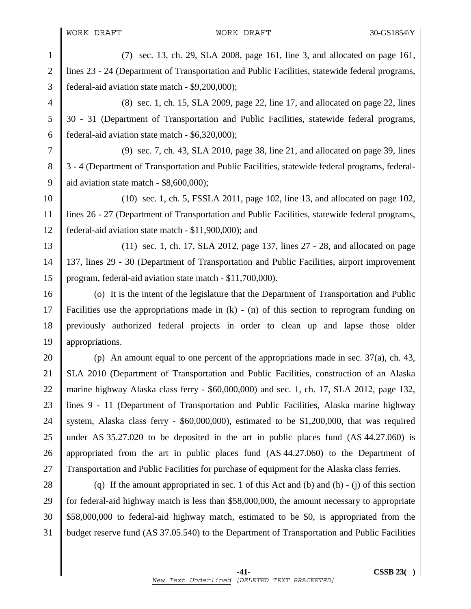1 (7) sec. 13, ch. 29, SLA 2008, page 161, line 3, and allocated on page 161, 2 lines 23 - 24 (Department of Transportation and Public Facilities, statewide federal programs, 3 federal-aid aviation state match - \$9,200,000);

4 (8) sec. 1, ch. 15, SLA 2009, page 22, line 17, and allocated on page 22, lines 5 30 - 31 (Department of Transportation and Public Facilities, statewide federal programs, 6  $\parallel$  federal-aid aviation state match - \$6,320,000);

7 (9) sec. 7, ch. 43, SLA 2010, page 38, line 21, and allocated on page 39, lines 8 | 3 - 4 (Department of Transportation and Public Facilities, statewide federal programs, federal-9  $\parallel$  aid aviation state match - \$8,600,000):

10 (10) sec. 1, ch. 5, FSSLA 2011, page 102, line 13, and allocated on page 102, 11 lines 26 - 27 (Department of Transportation and Public Facilities, statewide federal programs, 12 federal-aid aviation state match - \$11,900,000); and

13 (11) sec. 1, ch. 17, SLA 2012, page 137, lines 27 - 28, and allocated on page 14 137, lines 29 - 30 (Department of Transportation and Public Facilities, airport improvement 15 program, federal-aid aviation state match - \$11,700,000).

16 (o) It is the intent of the legislature that the Department of Transportation and Public 17 Facilities use the appropriations made in (k) - (n) of this section to reprogram funding on 18 previously authorized federal projects in order to clean up and lapse those older 19 || appropriations.

20 (p) An amount equal to one percent of the appropriations made in sec.  $37(a)$ , ch. 43, 21 SLA 2010 (Department of Transportation and Public Facilities, construction of an Alaska 22 marine highway Alaska class ferry - \$60,000,000) and sec. 1, ch. 17, SLA 2012, page 132, 23 lines 9 - 11 (Department of Transportation and Public Facilities, Alaska marine highway 24 System, Alaska class ferry - \$60,000,000), estimated to be \$1,200,000, that was required 25 under AS 35.27.020 to be deposited in the art in public places fund  $(AS\,44.27.060)$  is 26 || appropriated from the art in public places fund (AS 44.27.060) to the Department of 27 Transportation and Public Facilities for purchase of equipment for the Alaska class ferries.

28  $\parallel$  (q) If the amount appropriated in sec. 1 of this Act and (b) and (h) - (j) of this section 29 for federal-aid highway match is less than \$58,000,000, the amount necessary to appropriate 30 \$58,000,000 to federal-aid highway match, estimated to be \$0, is appropriated from the 31 budget reserve fund (AS 37.05.540) to the Department of Transportation and Public Facilities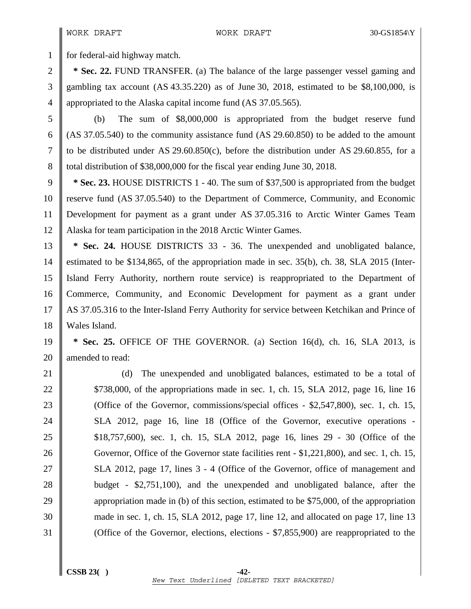1 for federal-aid highway match.

2 **\* Sec. 22.** FUND TRANSFER. (a) The balance of the large passenger vessel gaming and 3 gambling tax account (AS 43.35.220) as of June 30, 2018, estimated to be \$8,100,000, is 4 | appropriated to the Alaska capital income fund (AS 37.05.565).

5 (b) The sum of \$8,000,000 is appropriated from the budget reserve fund 6 (AS 37.05.540) to the community assistance fund  $(AS 29.60.850)$  to be added to the amount 7 to be distributed under AS 29.60.850(c), before the distribution under AS 29.60.855, for a 8 total distribution of \$38,000,000 for the fiscal year ending June 30, 2018.

9 **\* Sec. 23.** HOUSE DISTRICTS 1 - 40. The sum of \$37,500 is appropriated from the budget 10 reserve fund (AS 37.05.540) to the Department of Commerce, Community, and Economic 11 Development for payment as a grant under AS 37.05.316 to Arctic Winter Games Team 12 Alaska for team participation in the 2018 Arctic Winter Games.

13 **\* Sec. 24.** HOUSE DISTRICTS 33 - 36. The unexpended and unobligated balance, 14 estimated to be \$134,865, of the appropriation made in sec. 35(b), ch. 38, SLA 2015 (Inter-15 Island Ferry Authority, northern route service) is reappropriated to the Department of 16 Commerce, Community, and Economic Development for payment as a grant under 17 AS 37.05.316 to the Inter-Island Ferry Authority for service between Ketchikan and Prince of 18 Wales Island.

19 **\* Sec. 25.** OFFICE OF THE GOVERNOR. (a) Section 16(d), ch. 16, SLA 2013, is 20 || amended to read:

21 (d) The unexpended and unobligated balances, estimated to be a total of 22 \$738,000, of the appropriations made in sec. 1, ch. 15, SLA 2012, page 16, line 16 23 COffice of the Governor, commissions/special offices - \$2,547,800), sec. 1, ch. 15, 24 SLA 2012, page 16, line 18 (Office of the Governor, executive operations -25 \$18,757,600), sec. 1, ch. 15, SLA 2012, page 16, lines 29 - 30 (Office of the 26 Governor, Office of the Governor state facilities rent - \$1,221,800), and sec. 1, ch. 15, 27 SLA 2012, page 17, lines 3 - 4 (Office of the Governor, office of management and 28 budget - \$2,751,100), and the unexpended and unobligated balance, after the 29 appropriation made in (b) of this section, estimated to be \$75,000, of the appropriation 30 made in sec. 1, ch. 15, SLA 2012, page 17, line 12, and allocated on page 17, line 13 31 (Office of the Governor, elections, elections - \$7,855,900) are reappropriated to the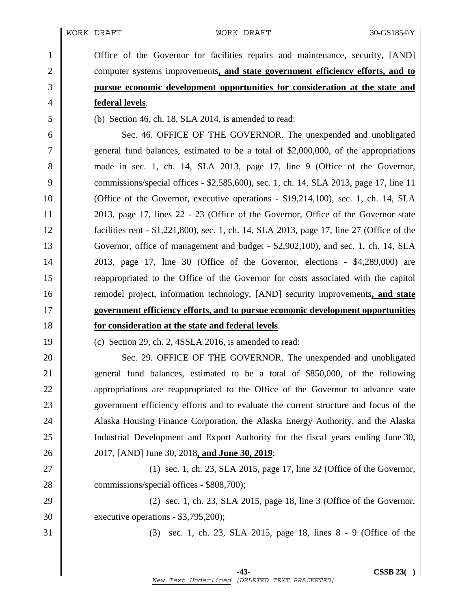1 Office of the Governor for facilities repairs and maintenance, security, [AND] **computer systems improvements**, and state government efficiency efforts, and to **pursue economic development opportunities for consideration at the state and federal levels**.

5 (b) Section 46, ch. 18, SLA 2014, is amended to read:

6 Sec. 46. OFFICE OF THE GOVERNOR. The unexpended and unobligated 7 general fund balances, estimated to be a total of \$2,000,000, of the appropriations 8 made in sec. 1, ch. 14, SLA 2013, page 17, line 9 (Office of the Governor, 9 commissions/special offices - \$2,585,600), sec. 1, ch. 14, SLA 2013, page 17, line 11 10 (Office of the Governor, executive operations - \$19,214,100), sec. 1, ch. 14, SLA 11 2013, page 17, lines 22 - 23 (Office of the Governor, Office of the Governor state 12 facilities rent - \$1,221,800), sec. 1, ch. 14, SLA 2013, page 17, line 27 (Office of the 13 Governor, office of management and budget - \$2,902,100), and sec. 1, ch. 14, SLA 14 2013, page 17, line 30 (Office of the Governor, elections - \$4,289,000) are 15 reappropriated to the Office of the Governor for costs associated with the capitol 16 **||** remodel project, information technology, [AND] security improvements, and state 17 **government efficiency efforts, and to pursue economic development opportunities**  18 **for consideration at the state and federal levels**.

19 (c) Section 29, ch. 2, 4SSLA 2016, is amended to read:

20 Sec. 29. OFFICE OF THE GOVERNOR. The unexpended and unobligated 21 general fund balances, estimated to be a total of \$850,000, of the following 22 **a** appropriations are reappropriated to the Office of the Governor to advance state 23 Solution 23 Solution 23 Solution 23 Solution 23 Solution 23 Solution 23 Solution 2016 to evaluate the current structure and focus of the 24 Alaska Housing Finance Corporation, the Alaska Energy Authority, and the Alaska 25 Industrial Development and Export Authority for the fiscal years ending June 30, 26 2017, [AND] June 30, 2018**, and June 30, 2019**:

27 || (1) sec. 1, ch. 23, SLA 2015, page 17, line 32 (Office of the Governor, 28 commissions/special offices - \$808,700);

29 (2) sec. 1, ch. 23, SLA 2015, page 18, line 3 (Office of the Governor, 30 executive operations - \$3,795,200);

31 (3) sec. 1, ch. 23, SLA 2015, page 18, lines 8 - 9 (Office of the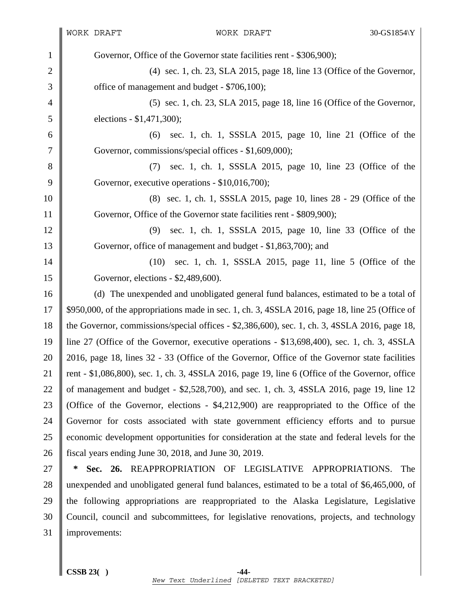1 Governor, Office of the Governor state facilities rent - \$306,900); 2 (4) sec. 1, ch. 23, SLA 2015, page 18, line 13 (Office of the Governor,  $3 \parallel$  office of management and budget - \$706,100); 4 (5) sec. 1, ch. 23, SLA 2015, page 18, line 16 (Office of the Governor, 5 elections - \$1,471,300); 6 (6) sec. 1, ch. 1, SSSLA 2015, page 10, line 21 (Office of the 7 Governor, commissions/special offices - \$1,609,000); 8 (7) sec. 1, ch. 1, SSSLA 2015, page 10, line 23 (Office of the 9 Governor, executive operations - \$10,016,700); 10 (8) sec. 1, ch. 1, SSSLA 2015, page 10, lines 28 - 29 (Office of the 11 Governor, Office of the Governor state facilities rent - \$809,900); 12 (9) sec. 1, ch. 1, SSSLA 2015, page 10, line 33 (Office of the 13 Governor, office of management and budget - \$1,863,700); and 14 (10) sec. 1, ch. 1, SSSLA 2015, page 11, line 5 (Office of the 15 Governor, elections - \$2,489,600). 16 (d) The unexpended and unobligated general fund balances, estimated to be a total of 17  $\parallel$  \$950,000, of the appropriations made in sec. 1, ch. 3, 4SSLA 2016, page 18, line 25 (Office of 18 the Governor, commissions/special offices - \$2,386,600), sec. 1, ch. 3, 4SSLA 2016, page 18, 19 line 27 (Office of the Governor, executive operations - \$13,698,400), sec. 1, ch. 3, 4SSLA 20 2016, page 18, lines 32 - 33 (Office of the Governor, Office of the Governor state facilities 21 rent - \$1,086,800), sec. 1, ch. 3, 4SSLA 2016, page 19, line 6 (Office of the Governor, office 22 of management and budget -  $$2,528,700$ , and sec. 1, ch. 3, 4SSLA 2016, page 19, line 12 23 (Office of the Governor, elections - \$4,212,900) are reappropriated to the Office of the 24 Governor for costs associated with state government efficiency efforts and to pursue 25 economic development opportunities for consideration at the state and federal levels for the 26 fiscal years ending June 30, 2018, and June 30, 2019. 27 **\* Sec. 26.** REAPPROPRIATION OF LEGISLATIVE APPROPRIATIONS. The 28 unexpended and unobligated general fund balances, estimated to be a total of \$6,465,000, of 29 the following appropriations are reappropriated to the Alaska Legislature, Legislative 30 Council, council and subcommittees, for legislative renovations, projects, and technology 31 | improvements: